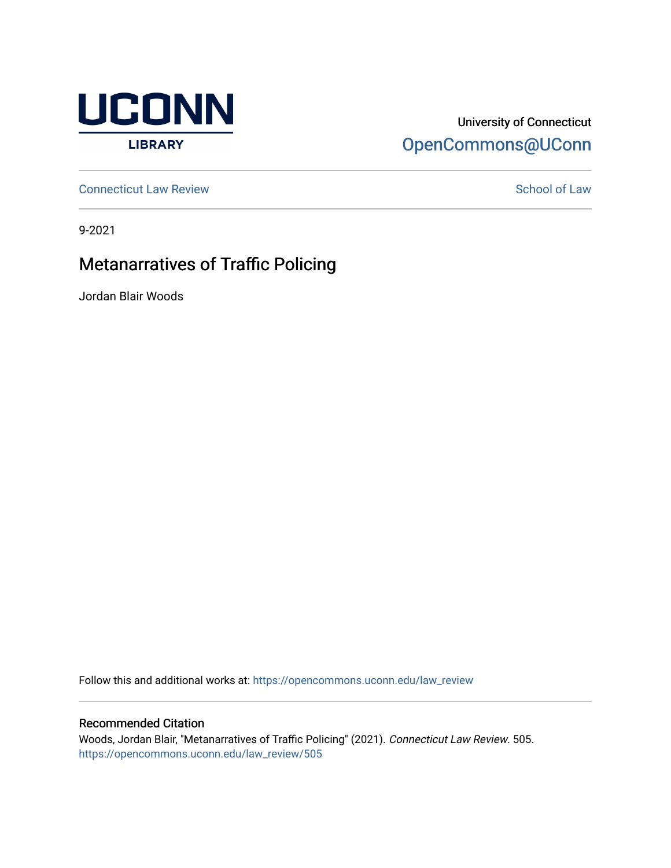

## University of Connecticut [OpenCommons@UConn](https://opencommons.uconn.edu/)

**[Connecticut Law Review](https://opencommons.uconn.edu/law_review) [School of Law](https://opencommons.uconn.edu/sol) Review School of Law School of Law School of Law School of Law School of Law School of Law School of Law School of Law School of Law School of Law School of Law School of Law School of** 

9-2021

# Metanarratives of Traffic Policing

Jordan Blair Woods

Follow this and additional works at: [https://opencommons.uconn.edu/law\\_review](https://opencommons.uconn.edu/law_review?utm_source=opencommons.uconn.edu%2Flaw_review%2F505&utm_medium=PDF&utm_campaign=PDFCoverPages)

### Recommended Citation

Woods, Jordan Blair, "Metanarratives of Traffic Policing" (2021). Connecticut Law Review. 505. [https://opencommons.uconn.edu/law\\_review/505](https://opencommons.uconn.edu/law_review/505?utm_source=opencommons.uconn.edu%2Flaw_review%2F505&utm_medium=PDF&utm_campaign=PDFCoverPages)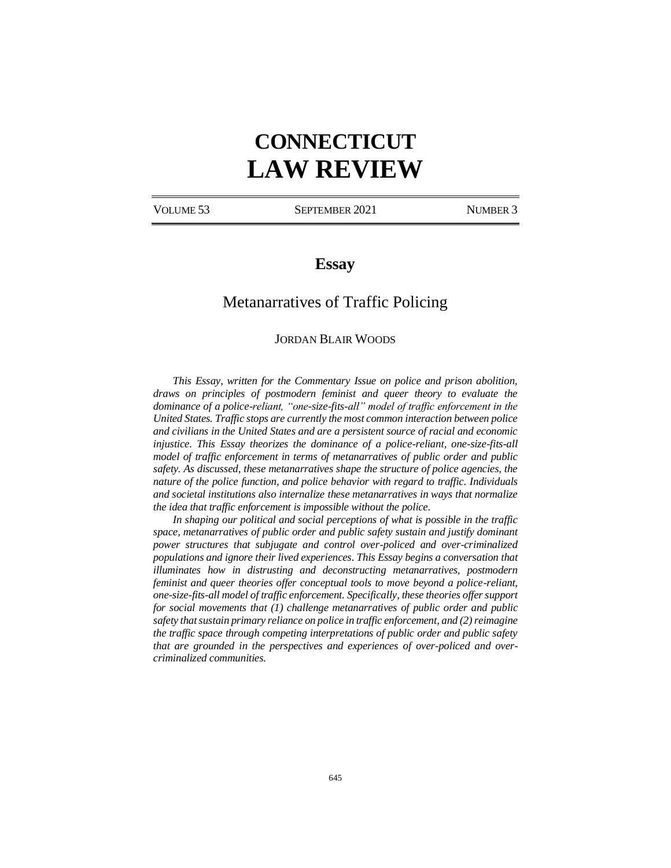# **CONNECTICUT LAW REVIEW**

VOLUME 53 SEPTEMBER 2021 NUMBER 3

## **Essay**

## Metanarratives of Traffic Policing

#### JORDAN BLAIR WOODS

*This Essay, written for the Commentary Issue on police and prison abolition, draws on principles of postmodern feminist and queer theory to evaluate the dominance of a police-reliant, "one-size-fits-all" model of traffic enforcement in the United States. Traffic stops are currently the most common interaction between police and civilians in the United States and are a persistent source of racial and economic injustice. This Essay theorizes the dominance of a police-reliant, one-size-fits-all model of traffic enforcement in terms of metanarratives of public order and public safety. As discussed, these metanarratives shape the structure of police agencies, the nature of the police function, and police behavior with regard to traffic. Individuals and societal institutions also internalize these metanarratives in ways that normalize the idea that traffic enforcement is impossible without the police.*

*In shaping our political and social perceptions of what is possible in the traffic space, metanarratives of public order and public safety sustain and justify dominant power structures that subjugate and control over-policed and over-criminalized populations and ignore their lived experiences. This Essay begins a conversation that illuminates how in distrusting and deconstructing metanarratives, postmodern feminist and queer theories offer conceptual tools to move beyond a police-reliant, one-size-fits-all model of traffic enforcement. Specifically, these theories offer support for social movements that (1) challenge metanarratives of public order and public safety that sustain primary reliance on police in traffic enforcement, and (2)reimagine the traffic space through competing interpretations of public order and public safety that are grounded in the perspectives and experiences of over-policed and overcriminalized communities.*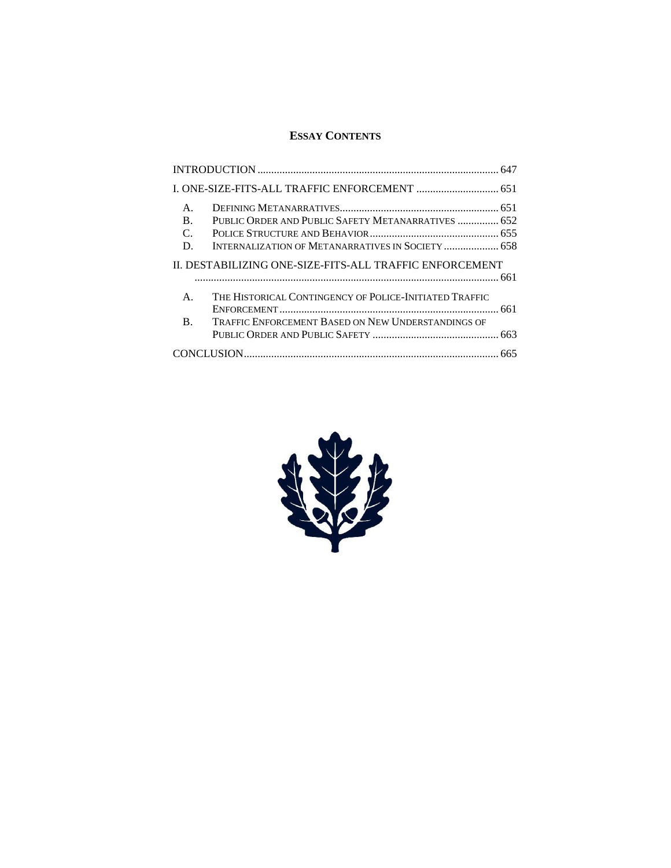## **ESSAY CONTENTS**

| $\mathsf{A}$ .<br>$\bf{B}$ .<br>$\mathcal{C}$<br>D.    | PUBLIC ORDER AND PUBLIC SAFETY METANARRATIVES  652<br>INTERNALIZATION OF METANARRATIVES IN SOCIETY  658 |
|--------------------------------------------------------|---------------------------------------------------------------------------------------------------------|
| IL DESTABILIZING ONE-SIZE-FITS-ALL TRAFFIC ENFORCEMENT |                                                                                                         |
| $\mathsf{A}$ .                                         | THE HISTORICAL CONTINGENCY OF POLICE-INITIATED TRAFFIC                                                  |
| $\mathbf{B}$ .                                         | <b>TRAFFIC ENFORCEMENT BASED ON NEW UNDERSTANDINGS OF</b>                                               |
|                                                        |                                                                                                         |

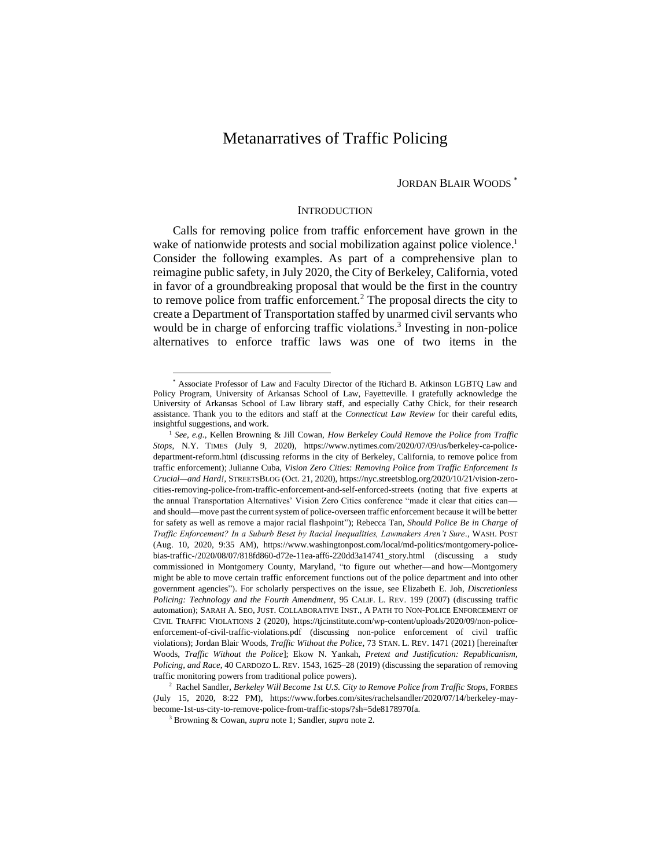## Metanarratives of Traffic Policing

#### JORDAN BLAIR WOODS \*

#### **INTRODUCTION**

Calls for removing police from traffic enforcement have grown in the wake of nationwide protests and social mobilization against police violence.<sup>1</sup> Consider the following examples. As part of a comprehensive plan to reimagine public safety, in July 2020, the City of Berkeley, California, voted in favor of a groundbreaking proposal that would be the first in the country to remove police from traffic enforcement.<sup>2</sup> The proposal directs the city to create a Department of Transportation staffed by unarmed civil servants who would be in charge of enforcing traffic violations.<sup>3</sup> Investing in non-police alternatives to enforce traffic laws was one of two items in the

<sup>\*</sup> Associate Professor of Law and Faculty Director of the Richard B. Atkinson LGBTQ Law and Policy Program, University of Arkansas School of Law, Fayetteville. I gratefully acknowledge the University of Arkansas School of Law library staff, and especially Cathy Chick, for their research assistance. Thank you to the editors and staff at the *Connecticut Law Review* for their careful edits, insightful suggestions, and work.

<sup>1</sup> *See, e.g.*, Kellen Browning & Jill Cowan, *How Berkeley Could Remove the Police from Traffic Stops*, N.Y. TIMES (July 9, 2020), https://www.nytimes.com/2020/07/09/us/berkeley-ca-policedepartment-reform.html (discussing reforms in the city of Berkeley, California, to remove police from traffic enforcement); Julianne Cuba, *Vision Zero Cities: Removing Police from Traffic Enforcement Is Crucial—and Hard!*, STREETSBLOG (Oct. 21, 2020), https://nyc.streetsblog.org/2020/10/21/vision-zerocities-removing-police-from-traffic-enforcement-and-self-enforced-streets (noting that five experts at the annual Transportation Alternatives' Vision Zero Cities conference "made it clear that cities can and should—move past the current system of police-overseen traffic enforcement because it will be better for safety as well as remove a major racial flashpoint"); Rebecca Tan, *Should Police Be in Charge of Traffic Enforcement? In a Suburb Beset by Racial Inequalities, Lawmakers Aren't Sure.*, WASH. POST (Aug. 10, 2020, 9:35 AM), https://www.washingtonpost.com/local/md-politics/montgomery-policebias-traffic-/2020/08/07/818fd860-d72e-11ea-aff6-220dd3a14741\_story.html (discussing a study commissioned in Montgomery County, Maryland, "to figure out whether—and how—Montgomery might be able to move certain traffic enforcement functions out of the police department and into other government agencies"). For scholarly perspectives on the issue, see Elizabeth E. Joh, *Discretionless Policing: Technology and the Fourth Amendment*, 95 CALIF. L. REV. 199 (2007) (discussing traffic automation); SARAH A. SEO, JUST. COLLABORATIVE INST., A PATH TO NON-POLICE ENFORCEMENT OF CIVIL TRAFFIC VIOLATIONS 2 (2020), https://tjcinstitute.com/wp-content/uploads/2020/09/non-policeenforcement-of-civil-traffic-violations.pdf (discussing non-police enforcement of civil traffic violations); Jordan Blair Woods, *Traffic Without the Police*, 73 STAN. L. REV. 1471 (2021) [hereinafter Woods, *Traffic Without the Police*]; Ekow N. Yankah, *Pretext and Justification: Republicanism, Policing, and Race*, 40 CARDOZO L. REV. 1543, 1625–28 (2019) (discussing the separation of removing traffic monitoring powers from traditional police powers).

<sup>2</sup> Rachel Sandler, *Berkeley Will Become 1st U.S. City to Remove Police from Traffic Stops*, FORBES (July 15, 2020, 8:22 PM), https://www.forbes.com/sites/rachelsandler/2020/07/14/berkeley-maybecome-1st-us-city-to-remove-police-from-traffic-stops/?sh=5de8178970fa.

<sup>3</sup> Browning & Cowan, *supra* note 1; Sandler, *supra* note 2.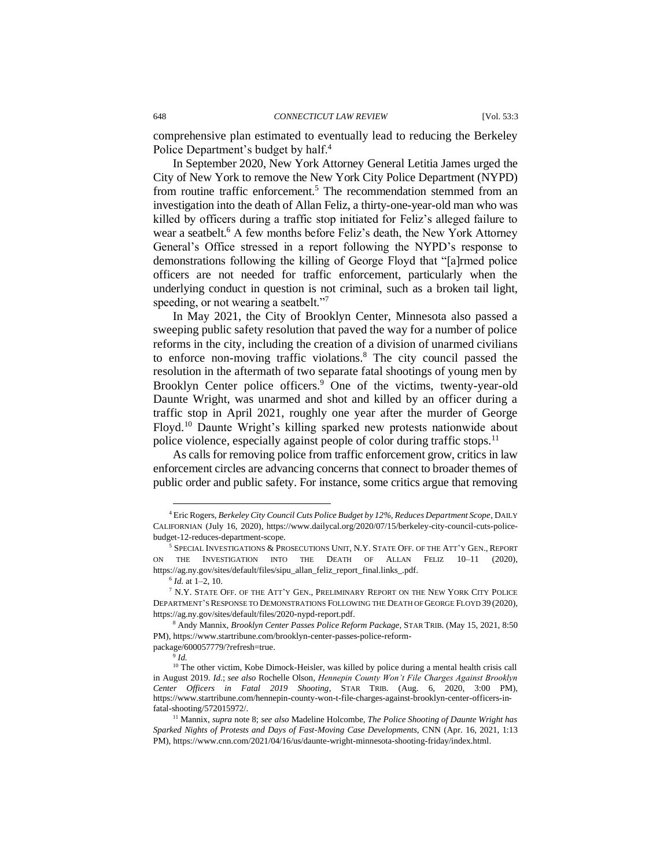comprehensive plan estimated to eventually lead to reducing the Berkeley Police Department's budget by half.<sup>4</sup>

In September 2020, New York Attorney General Letitia James urged the City of New York to remove the New York City Police Department (NYPD) from routine traffic enforcement.<sup>5</sup> The recommendation stemmed from an investigation into the death of Allan Feliz, a thirty-one-year-old man who was killed by officers during a traffic stop initiated for Feliz's alleged failure to wear a seatbelt.<sup>6</sup> A few months before Feliz's death, the New York Attorney General's Office stressed in a report following the NYPD's response to demonstrations following the killing of George Floyd that "[a]rmed police officers are not needed for traffic enforcement, particularly when the underlying conduct in question is not criminal, such as a broken tail light, speeding, or not wearing a seatbelt."<sup>7</sup>

In May 2021, the City of Brooklyn Center, Minnesota also passed a sweeping public safety resolution that paved the way for a number of police reforms in the city, including the creation of a division of unarmed civilians to enforce non-moving traffic violations.<sup>8</sup> The city council passed the resolution in the aftermath of two separate fatal shootings of young men by Brooklyn Center police officers.<sup>9</sup> One of the victims, twenty-year-old Daunte Wright, was unarmed and shot and killed by an officer during a traffic stop in April 2021, roughly one year after the murder of George Floyd.<sup>10</sup> Daunte Wright's killing sparked new protests nationwide about police violence, especially against people of color during traffic stops.<sup>11</sup>

As calls for removing police from traffic enforcement grow, critics in law enforcement circles are advancing concerns that connect to broader themes of public order and public safety. For instance, some critics argue that removing

package/600057779/?refresh=true.

9 *Id.*

<sup>4</sup> Eric Rogers, *Berkeley City Council Cuts Police Budget by 12%, Reduces Department Scope*, DAILY CALIFORNIAN (July 16, 2020), https://www.dailycal.org/2020/07/15/berkeley-city-council-cuts-policebudget-12-reduces-department-scope.

<sup>5</sup> SPECIAL INVESTIGATIONS & PROSECUTIONS UNIT, N.Y. STATE OFF. OF THE ATT'Y GEN., REPORT ON THE INVESTIGATION INTO THE DEATH OF ALLAN FELIZ 10–11 (2020), https://ag.ny.gov/sites/default/files/sipu\_allan\_feliz\_report\_final.links\_.pdf.

<sup>6</sup> *Id.* at 1–2, 10.

<sup>7</sup> N.Y. STATE OFF. OF THE ATT'Y GEN., PRELIMINARY REPORT ON THE NEW YORK CITY POLICE DEPARTMENT'S RESPONSE TO DEMONSTRATIONS FOLLOWING THE DEATH OF GEORGE FLOYD 39 (2020), https://ag.ny.gov/sites/default/files/2020-nypd-report.pdf.

<sup>8</sup> Andy Mannix, *Brooklyn Center Passes Police Reform Package*, STAR TRIB. (May 15, 2021, 8:50 PM), https://www.startribune.com/brooklyn-center-passes-police-reform-

<sup>&</sup>lt;sup>10</sup> The other victim, Kobe Dimock-Heisler, was killed by police during a mental health crisis call in August 2019. *Id.*; *see also* Rochelle Olson, *Hennepin County Won't File Charges Against Brooklyn Center Officers in Fatal 2019 Shooting*, STAR TRIB. (Aug. 6, 2020, 3:00 PM), https://www.startribune.com/hennepin-county-won-t-file-charges-against-brooklyn-center-officers-infatal-shooting/572015972/.

<sup>11</sup> Mannix, *supra* note 8; *see also* Madeline Holcombe, *The Police Shooting of Daunte Wright has Sparked Nights of Protests and Days of Fast-Moving Case Developments*, CNN (Apr. 16, 2021, 1:13 PM), https://www.cnn.com/2021/04/16/us/daunte-wright-minnesota-shooting-friday/index.html.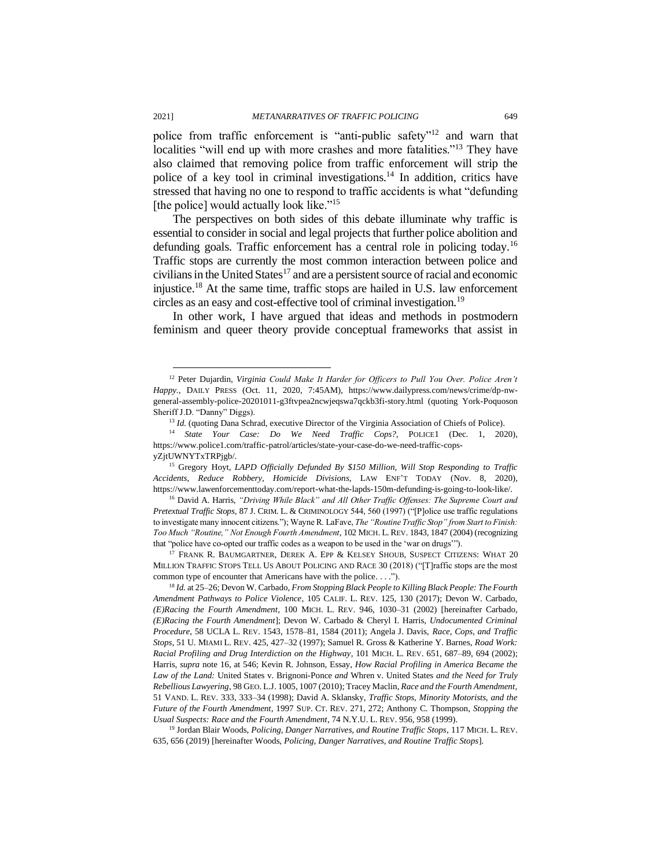police from traffic enforcement is "anti-public safety"<sup>12</sup> and warn that localities "will end up with more crashes and more fatalities."<sup>13</sup> They have also claimed that removing police from traffic enforcement will strip the police of a key tool in criminal investigations.<sup>14</sup> In addition, critics have stressed that having no one to respond to traffic accidents is what "defunding [the police] would actually look like."<sup>15</sup>

The perspectives on both sides of this debate illuminate why traffic is essential to consider in social and legal projects that further police abolition and defunding goals. Traffic enforcement has a central role in policing today.<sup>16</sup> Traffic stops are currently the most common interaction between police and civilians in the United States<sup>17</sup> and are a persistent source of racial and economic injustice.<sup>18</sup> At the same time, traffic stops are hailed in U.S. law enforcement circles as an easy and cost-effective tool of criminal investigation.<sup>19</sup>

In other work, I have argued that ideas and methods in postmodern feminism and queer theory provide conceptual frameworks that assist in

<sup>17</sup> FRANK R. BAUMGARTNER, DEREK A. EPP & KELSEY SHOUB, SUSPECT CITIZENS: WHAT 20 MILLION TRAFFIC STOPS TELL US ABOUT POLICING AND RACE 30 (2018) ("[T]raffic stops are the most common type of encounter that Americans have with the police. . . .").

<sup>19</sup> Jordan Blair Woods, *Policing, Danger Narratives, and Routine Traffic Stops*, 117 MICH. L. REV. 635, 656 (2019) [hereinafter Woods, *Policing, Danger Narratives, and Routine Traffic Stops*].

<sup>12</sup> Peter Dujardin, *Virginia Could Make It Harder for Officers to Pull You Over. Police Aren't Happy.*, DAILY PRESS (Oct. 11, 2020, 7:45AM), https://www.dailypress.com/news/crime/dp-nwgeneral-assembly-police-20201011-g3ftvpea2ncwjeqswa7qckb3fi-story.html (quoting York-Poquoson Sheriff J.D. "Danny" Diggs).

<sup>13</sup> *Id.* (quoting Dana Schrad, executive Director of the Virginia Association of Chiefs of Police).

<sup>14</sup> *State Your Case: Do We Need Traffic Cops?*, POLICE1 (Dec. 1, 2020), https://www.police1.com/traffic-patrol/articles/state-your-case-do-we-need-traffic-copsyZjtUWNYTxTRPjgb/.

<sup>&</sup>lt;sup>15</sup> Gregory Hoyt, *LAPD Officially Defunded By \$150 Million, Will Stop Responding to Traffic Accidents, Reduce Robbery, Homicide Divisions*, LAW ENF'T TODAY (Nov. 8, 2020), https://www.lawenforcementtoday.com/report-what-the-lapds-150m-defunding-is-going-to-look-like/.

<sup>16</sup> David A. Harris, *"Driving While Black" and All Other Traffic Offenses: The Supreme Court and Pretextual Traffic Stops*, 87 J. CRIM. L. & CRIMINOLOGY 544, 560 (1997) ("[P]olice use traffic regulations to investigate many innocent citizens."); Wayne R. LaFave, *The "Routine Traffic Stop" from Start to Finish: Too Much "Routine," Not Enough Fourth Amendment*, 102 MICH. L. REV. 1843, 1847 (2004) (recognizing that "police have co-opted our traffic codes as a weapon to be used in the 'war on drugs'").

<sup>18</sup> *Id.* at 25–26; Devon W. Carbado, *From Stopping Black People to Killing Black People: The Fourth Amendment Pathways to Police Violence*, 105 CALIF. L. REV. 125, 130 (2017); Devon W. Carbado, *(E)Racing the Fourth Amendment*, 100 MICH. L. REV. 946, 1030–31 (2002) [hereinafter Carbado, *(E)Racing the Fourth Amendment*]; Devon W. Carbado & Cheryl I. Harris, *Undocumented Criminal Procedure*, 58 UCLA L. REV. 1543, 1578–81, 1584 (2011); Angela J. Davis, *Race, Cops, and Traffic Stops*, 51 U. MIAMI L. REV. 425, 427–32 (1997); Samuel R. Gross & Katherine Y. Barnes, *Road Work: Racial Profiling and Drug Interdiction on the Highway*, 101 MICH. L. REV. 651, 687–89, 694 (2002); Harris, *supra* note 16, at 546; Kevin R. Johnson, Essay, *How Racial Profiling in America Became the Law of the Land:* United States v. Brignoni-Ponce *and* Whren v. United States *and the Need for Truly Rebellious Lawyering*, 98 GEO. L.J. 1005, 1007 (2010); Tracey Maclin, *Race and the Fourth Amendment*, 51 VAND. L. REV. 333, 333–34 (1998); David A. Sklansky, *Traffic Stops, Minority Motorists, and the Future of the Fourth Amendment*, 1997 SUP. CT. REV. 271, 272; Anthony C. Thompson, *Stopping the Usual Suspects: Race and the Fourth Amendment*, 74 N.Y.U. L. REV. 956, 958 (1999).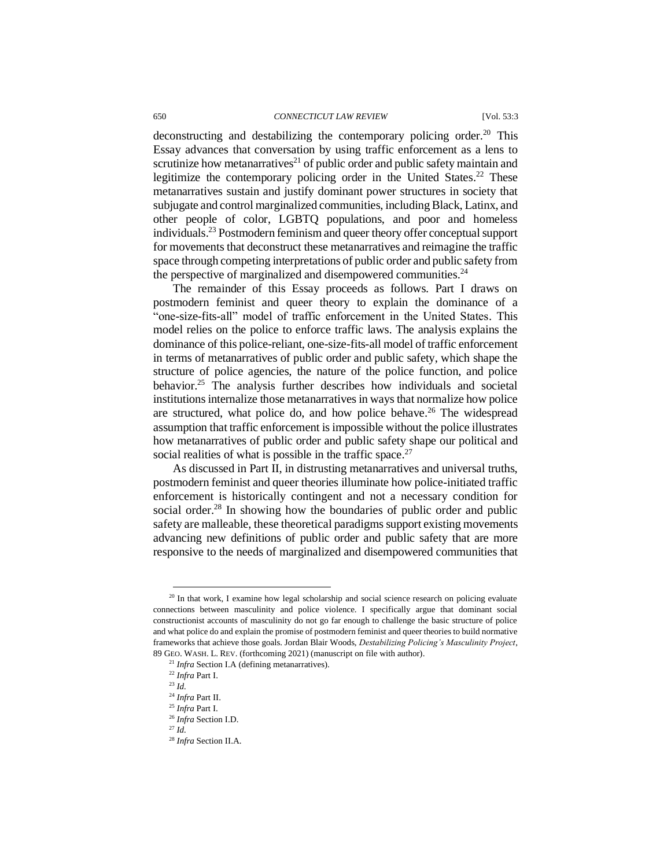#### 650 *CONNECTICUT LAW REVIEW* [Vol. 53:3

deconstructing and destabilizing the contemporary policing order.<sup>20</sup> This Essay advances that conversation by using traffic enforcement as a lens to scrutinize how metanarratives<sup>21</sup> of public order and public safety maintain and legitimize the contemporary policing order in the United States.<sup>22</sup> These metanarratives sustain and justify dominant power structures in society that subjugate and control marginalized communities, including Black, Latinx, and other people of color, LGBTQ populations, and poor and homeless individuals.<sup>23</sup> Postmodern feminism and queer theory offer conceptual support for movements that deconstruct these metanarratives and reimagine the traffic space through competing interpretations of public order and public safety from the perspective of marginalized and disempowered communities.<sup>24</sup>

The remainder of this Essay proceeds as follows. Part I draws on postmodern feminist and queer theory to explain the dominance of a "one-size-fits-all" model of traffic enforcement in the United States. This model relies on the police to enforce traffic laws. The analysis explains the dominance of this police-reliant, one-size-fits-all model of traffic enforcement in terms of metanarratives of public order and public safety, which shape the structure of police agencies, the nature of the police function, and police behavior.<sup>25</sup> The analysis further describes how individuals and societal institutions internalize those metanarratives in ways that normalize how police are structured, what police do, and how police behave.<sup>26</sup> The widespread assumption that traffic enforcement is impossible without the police illustrates how metanarratives of public order and public safety shape our political and social realities of what is possible in the traffic space. $27$ 

As discussed in Part II, in distrusting metanarratives and universal truths, postmodern feminist and queer theories illuminate how police-initiated traffic enforcement is historically contingent and not a necessary condition for social order.<sup>28</sup> In showing how the boundaries of public order and public safety are malleable, these theoretical paradigms support existing movements advancing new definitions of public order and public safety that are more responsive to the needs of marginalized and disempowered communities that

<sup>&</sup>lt;sup>20</sup> In that work, I examine how legal scholarship and social science research on policing evaluate connections between masculinity and police violence. I specifically argue that dominant social constructionist accounts of masculinity do not go far enough to challenge the basic structure of police and what police do and explain the promise of postmodern feminist and queer theories to build normative frameworks that achieve those goals. Jordan Blair Woods, *Destabilizing Policing's Masculinity Project*, 89 GEO. WASH. L. REV. (forthcoming 2021) (manuscript on file with author).

<sup>21</sup> *Infra* Section I.A (defining metanarratives).

<sup>22</sup> *Infra* Part I.

 $^{23}$  *Id.* 

<sup>24</sup> *Infra* Part II.

<sup>25</sup> *Infra* Part I.

<sup>26</sup> *Infra* Section I.D.

<sup>27</sup> *Id.*

<sup>28</sup> *Infra* Section II.A.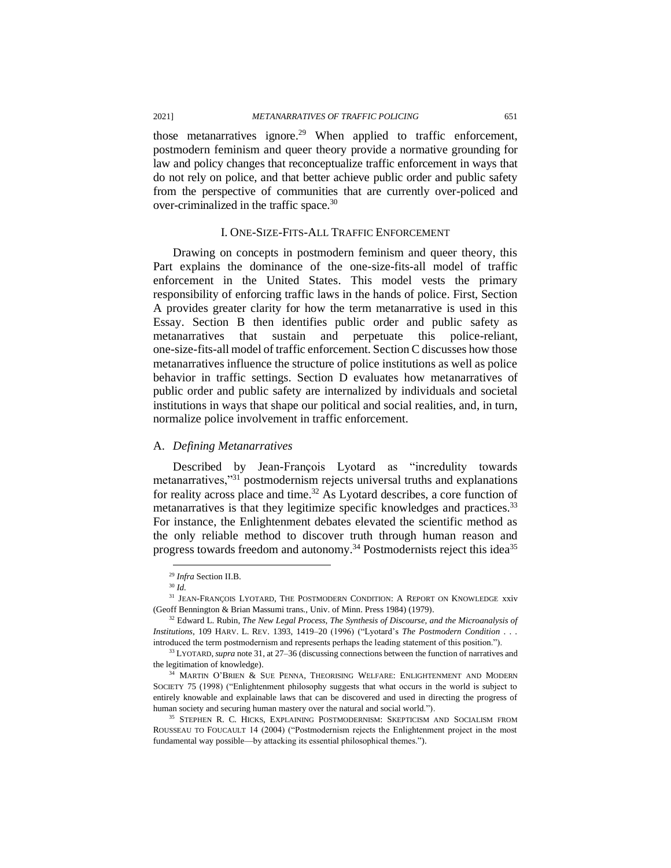those metanarratives ignore.<sup>29</sup> When applied to traffic enforcement, postmodern feminism and queer theory provide a normative grounding for law and policy changes that reconceptualize traffic enforcement in ways that do not rely on police, and that better achieve public order and public safety from the perspective of communities that are currently over-policed and over-criminalized in the traffic space.<sup>30</sup>

#### I. ONE-SIZE-FITS-ALL TRAFFIC ENFORCEMENT

Drawing on concepts in postmodern feminism and queer theory, this Part explains the dominance of the one-size-fits-all model of traffic enforcement in the United States. This model vests the primary responsibility of enforcing traffic laws in the hands of police. First, Section A provides greater clarity for how the term metanarrative is used in this Essay. Section B then identifies public order and public safety as metanarratives that sustain and perpetuate this police-reliant, one-size-fits-all model of traffic enforcement. Section C discusses how those metanarratives influence the structure of police institutions as well as police behavior in traffic settings. Section D evaluates how metanarratives of public order and public safety are internalized by individuals and societal institutions in ways that shape our political and social realities, and, in turn, normalize police involvement in traffic enforcement.

#### A. *Defining Metanarratives*

Described by Jean-François Lyotard as "incredulity towards metanarratives,"<sup>31</sup> postmodernism rejects universal truths and explanations for reality across place and time.<sup>32</sup> As Lyotard describes, a core function of metanarratives is that they legitimize specific knowledges and practices.<sup>33</sup> For instance, the Enlightenment debates elevated the scientific method as the only reliable method to discover truth through human reason and progress towards freedom and autonomy.<sup>34</sup> Postmodernists reject this idea<sup>35</sup>

<sup>29</sup> *Infra* Section II.B.

<sup>30</sup> *Id.*

<sup>&</sup>lt;sup>31</sup> JEAN-FRANÇOIS LYOTARD, THE POSTMODERN CONDITION: A REPORT ON KNOWLEDGE xxiv (Geoff Bennington & Brian Massumi trans., Univ. of Minn. Press 1984) (1979).

<sup>32</sup> Edward L. Rubin, *The New Legal Process, The Synthesis of Discourse, and the Microanalysis of Institutions*, 109 HARV. L. REV. 1393, 1419–20 (1996) ("Lyotard's *The Postmodern Condition* . . . introduced the term postmodernism and represents perhaps the leading statement of this position.").

<sup>33</sup> LYOTARD,*supra* note 31, at 27–36 (discussing connections between the function of narratives and the legitimation of knowledge).

 $34$  MARTIN O'BRIEN & SUE PENNA, THEORISING WELFARE: ENLIGHTENMENT AND MODERN SOCIETY 75 (1998) ("Enlightenment philosophy suggests that what occurs in the world is subject to entirely knowable and explainable laws that can be discovered and used in directing the progress of human society and securing human mastery over the natural and social world.").

<sup>35</sup> STEPHEN R. C. HICKS, EXPLAINING POSTMODERNISM: SKEPTICISM AND SOCIALISM FROM ROUSSEAU TO FOUCAULT 14 (2004) ("Postmodernism rejects the Enlightenment project in the most fundamental way possible—by attacking its essential philosophical themes.").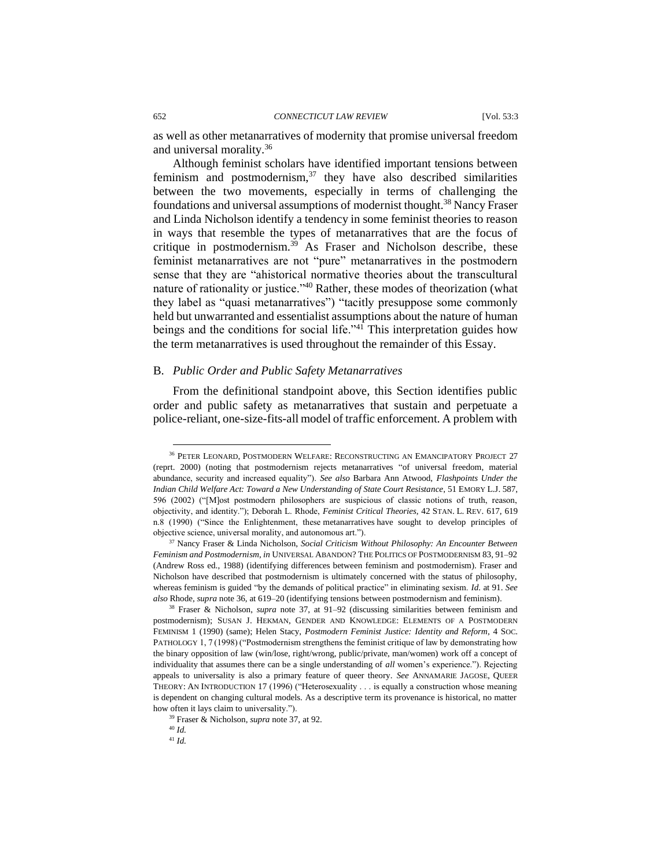as well as other metanarratives of modernity that promise universal freedom and universal morality.<sup>36</sup>

Although feminist scholars have identified important tensions between feminism and postmodernism, $37$  they have also described similarities between the two movements, especially in terms of challenging the foundations and universal assumptions of modernist thought.<sup>38</sup> Nancy Fraser and Linda Nicholson identify a tendency in some feminist theories to reason in ways that resemble the types of metanarratives that are the focus of critique in postmodernism.<sup>39</sup> As Fraser and Nicholson describe, these feminist metanarratives are not "pure" metanarratives in the postmodern sense that they are "ahistorical normative theories about the transcultural nature of rationality or justice."<sup>40</sup> Rather, these modes of theorization (what they label as "quasi metanarratives") "tacitly presuppose some commonly held but unwarranted and essentialist assumptions about the nature of human beings and the conditions for social life." $4\overline{1}$  This interpretation guides how the term metanarratives is used throughout the remainder of this Essay.

#### B. *Public Order and Public Safety Metanarratives*

From the definitional standpoint above, this Section identifies public order and public safety as metanarratives that sustain and perpetuate a police-reliant, one-size-fits-all model of traffic enforcement. A problem with

<sup>36</sup> PETER LEONARD, POSTMODERN WELFARE: RECONSTRUCTING AN EMANCIPATORY PROJECT 27 (reprt. 2000) (noting that postmodernism rejects metanarratives "of universal freedom, material abundance, security and increased equality"). *See also* Barbara Ann Atwood, *Flashpoints Under the Indian Child Welfare Act: Toward a New Understanding of State Court Resistance*, 51 EMORY L.J. 587, 596 (2002) ("[M]ost postmodern philosophers are suspicious of classic notions of truth, reason, objectivity, and identity."); Deborah L. Rhode, *Feminist Critical Theories*, 42 STAN. L. REV. 617, 619 n.8 (1990) ("Since the Enlightenment, these metanarratives have sought to develop principles of objective science, universal morality, and autonomous art.").

<sup>37</sup> Nancy Fraser & Linda Nicholson, *Social Criticism Without Philosophy: An Encounter Between Feminism and Postmodernism*, *in* UNIVERSAL ABANDON? THE POLITICS OF POSTMODERNISM 83, 91–92 (Andrew Ross ed., 1988) (identifying differences between feminism and postmodernism). Fraser and Nicholson have described that postmodernism is ultimately concerned with the status of philosophy, whereas feminism is guided "by the demands of political practice" in eliminating sexism. *Id.* at 91. *See also* Rhode, *supra* note 36, at 619–20 (identifying tensions between postmodernism and feminism).

<sup>38</sup> Fraser & Nicholson, *supra* note 37, at 91–92 (discussing similarities between feminism and postmodernism); SUSAN J. HEKMAN, GENDER AND KNOWLEDGE: ELEMENTS OF A POSTMODERN FEMINISM 1 (1990) (same); Helen Stacy, *Postmodern Feminist Justice: Identity and Reform*, 4 SOC. PATHOLOGY 1, 7 (1998) ("Postmodernism strengthens the feminist critique of law by demonstrating how the binary opposition of law (win/lose, right/wrong, public/private, man/women) work off a concept of individuality that assumes there can be a single understanding of *all* women's experience."). Rejecting appeals to universality is also a primary feature of queer theory. *See* ANNAMARIE JAGOSE, QUEER THEORY: AN INTRODUCTION 17 (1996) ("Heterosexuality . . . is equally a construction whose meaning is dependent on changing cultural models. As a descriptive term its provenance is historical, no matter how often it lays claim to universality.").

<sup>39</sup> Fraser & Nicholson, *supra* note 37, at 92.

<sup>40</sup> *Id.* 

<sup>41</sup> *Id.*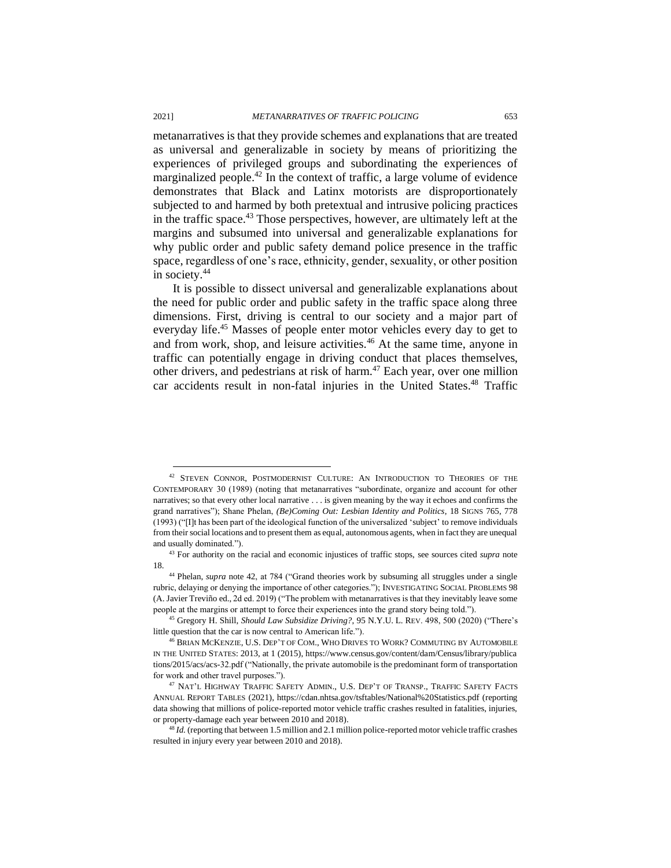metanarratives is that they provide schemes and explanations that are treated as universal and generalizable in society by means of prioritizing the experiences of privileged groups and subordinating the experiences of marginalized people.<sup>42</sup> In the context of traffic, a large volume of evidence demonstrates that Black and Latinx motorists are disproportionately subjected to and harmed by both pretextual and intrusive policing practices in the traffic space. $43$  Those perspectives, however, are ultimately left at the margins and subsumed into universal and generalizable explanations for why public order and public safety demand police presence in the traffic space, regardless of one's race, ethnicity, gender, sexuality, or other position in society.<sup>44</sup>

It is possible to dissect universal and generalizable explanations about the need for public order and public safety in the traffic space along three dimensions. First, driving is central to our society and a major part of everyday life.<sup>45</sup> Masses of people enter motor vehicles every day to get to and from work, shop, and leisure activities.<sup>46</sup> At the same time, anyone in traffic can potentially engage in driving conduct that places themselves, other drivers, and pedestrians at risk of harm.<sup>47</sup> Each year, over one million car accidents result in non-fatal injuries in the United States.<sup>48</sup> Traffic

<sup>&</sup>lt;sup>42</sup> STEVEN CONNOR, POSTMODERNIST CULTURE: AN INTRODUCTION TO THEORIES OF THE CONTEMPORARY 30 (1989) (noting that metanarratives "subordinate, organize and account for other narratives; so that every other local narrative . . . is given meaning by the way it echoes and confirms the grand narratives"); Shane Phelan, *(Be)Coming Out: Lesbian Identity and Politics*, 18 SIGNS 765, 778 (1993) ("[I]t has been part of the ideological function of the universalized 'subject' to remove individuals from their social locations and to present them as equal, autonomous agents, when in fact they are unequal and usually dominated.").

<sup>43</sup> For authority on the racial and economic injustices of traffic stops, see sources cited *supra* note 18.

<sup>44</sup> Phelan, *supra* note 42, at 784 ("Grand theories work by subsuming all struggles under a single rubric, delaying or denying the importance of other categories."); INVESTIGATING SOCIAL PROBLEMS 98 (A. Javier Treviño ed., 2d ed. 2019) ("The problem with metanarratives is that they inevitably leave some people at the margins or attempt to force their experiences into the grand story being told.").

<sup>45</sup> Gregory H. Shill, *Should Law Subsidize Driving?*, 95 N.Y.U. L. REV. 498, 500 (2020) ("There's little question that the car is now central to American life.").

<sup>46</sup> BRIAN MCKENZIE, U.S. DEP'T OF COM., WHO DRIVES TO WORK? COMMUTING BY AUTOMOBILE IN THE UNITED STATES: 2013, at 1 (2015), https://www.census.gov/content/dam/Census/library/publica tions/2015/acs/acs-32.pdf ("Nationally, the private automobile is the predominant form of transportation for work and other travel purposes.").

<sup>&</sup>lt;sup>47</sup> NAT'L HIGHWAY TRAFFIC SAFETY ADMIN., U.S. DEP'T OF TRANSP., TRAFFIC SAFETY FACTS ANNUAL REPORT TABLES (2021), https://cdan.nhtsa.gov/tsftables/National%20Statistics.pdf (reporting data showing that millions of police-reported motor vehicle traffic crashes resulted in fatalities, injuries, or property-damage each year between 2010 and 2018).

<sup>48</sup> *Id.* (reporting that between 1.5 million and 2.1 million police-reported motor vehicle traffic crashes resulted in injury every year between 2010 and 2018).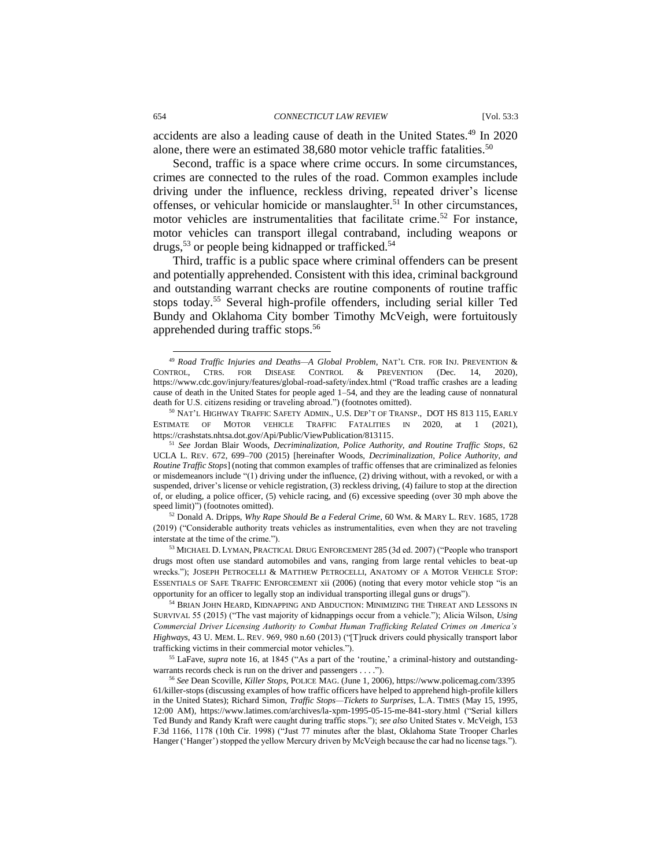accidents are also a leading cause of death in the United States.<sup>49</sup> In 2020 alone, there were an estimated 38,680 motor vehicle traffic fatalities.<sup>50</sup>

Second, traffic is a space where crime occurs. In some circumstances, crimes are connected to the rules of the road. Common examples include driving under the influence, reckless driving, repeated driver's license offenses, or vehicular homicide or manslaughter.<sup>51</sup> In other circumstances, motor vehicles are instrumentalities that facilitate crime.<sup>52</sup> For instance, motor vehicles can transport illegal contraband, including weapons or drugs,<sup>53</sup> or people being kidnapped or trafficked.<sup>54</sup>

Third, traffic is a public space where criminal offenders can be present and potentially apprehended. Consistent with this idea, criminal background and outstanding warrant checks are routine components of routine traffic stops today.<sup>55</sup> Several high-profile offenders, including serial killer Ted Bundy and Oklahoma City bomber Timothy McVeigh, were fortuitously apprehended during traffic stops.<sup>56</sup>

<sup>49</sup> *Road Traffic Injuries and Deaths—A Global Problem*, NAT'L CTR. FOR INJ. PREVENTION & CONTROL, CTRS. FOR DISEASE CONTROL & PREVENTION (Dec. 14, 2020), https://www.cdc.gov/injury/features/global-road-safety/index.html ("Road traffic crashes are a leading cause of death in the United States for people aged 1–54, and they are the leading cause of nonnatural death for U.S. citizens residing or traveling abroad.") (footnotes omitted).

 $^{50}$  Nat'l Highway Traffic Safety Admin., U.S. Dep't of Transp., DOT HS 813 115, Early ESTIMATE OF MOTOR VEHICLE TRAFFIC FATALITIES IN 2020, at 1 (2021), https://crashstats.nhtsa.dot.gov/Api/Public/ViewPublication/813115.

<sup>51</sup> *See* Jordan Blair Woods, *Decriminalization, Police Authority, and Routine Traffic Stops*, 62 UCLA L. REV. 672, 699–700 (2015) [hereinafter Woods, *Decriminalization, Police Authority, and Routine Traffic Stops*] (noting that common examples of traffic offenses that are criminalized as felonies or misdemeanors include "(1) driving under the influence, (2) driving without, with a revoked, or with a suspended, driver's license or vehicle registration, (3) reckless driving, (4) failure to stop at the direction of, or eluding, a police officer, (5) vehicle racing, and (6) excessive speeding (over 30 mph above the speed limit)") (footnotes omitted).

<sup>52</sup> Donald A. Dripps, *Why Rape Should Be a Federal Crime*, 60 WM. & MARY L. REV. 1685, 1728 (2019) ("Considerable authority treats vehicles as instrumentalities, even when they are not traveling interstate at the time of the crime.").

<sup>53</sup> MICHAEL D. LYMAN, PRACTICAL DRUG ENFORCEMENT 285 (3d ed. 2007) ("People who transport drugs most often use standard automobiles and vans, ranging from large rental vehicles to beat-up wrecks."); JOSEPH PETROCELLI & MATTHEW PETROCELLI, ANATOMY OF A MOTOR VEHICLE STOP: ESSENTIALS OF SAFE TRAFFIC ENFORCEMENT xii (2006) (noting that every motor vehicle stop "is an opportunity for an officer to legally stop an individual transporting illegal guns or drugs").

<sup>54</sup> BRIAN JOHN HEARD, KIDNAPPING AND ABDUCTION: MINIMIZING THE THREAT AND LESSONS IN SURVIVAL 55 (2015) ("The vast majority of kidnappings occur from a vehicle."); Alicia Wilson, *Using Commercial Driver Licensing Authority to Combat Human Trafficking Related Crimes on America's Highways*, 43 U. MEM. L. REV. 969, 980 n.60 (2013) ("[T]ruck drivers could physically transport labor trafficking victims in their commercial motor vehicles.").

<sup>55</sup> LaFave, *supra* note 16, at 1845 ("As a part of the 'routine,' a criminal-history and outstandingwarrants records check is run on the driver and passengers . . . .").

<sup>56</sup> *See* Dean Scoville, *Killer Stops*, POLICE MAG. (June 1, 2006), https://www.policemag.com/3395 61/killer-stops (discussing examples of how traffic officers have helped to apprehend high-profile killers in the United States); Richard Simon, *Traffic Stops—Tickets to Surprises*, L.A. TIMES (May 15, 1995, 12:00 AM), https://www.latimes.com/archives/la-xpm-1995-05-15-me-841-story.html ("Serial killers Ted Bundy and Randy Kraft were caught during traffic stops."); *see also* United States v. McVeigh, 153 F.3d 1166, 1178 (10th Cir. 1998) ("Just 77 minutes after the blast, Oklahoma State Trooper Charles Hanger ('Hanger') stopped the yellow Mercury driven by McVeigh because the car had no license tags.").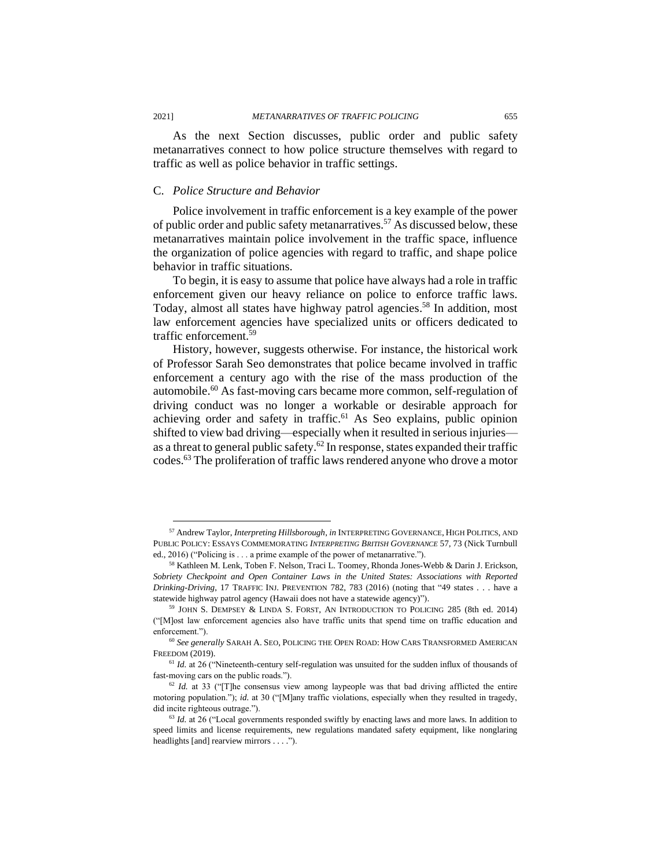As the next Section discusses, public order and public safety metanarratives connect to how police structure themselves with regard to traffic as well as police behavior in traffic settings.

#### C. *Police Structure and Behavior*

Police involvement in traffic enforcement is a key example of the power of public order and public safety metanarratives.<sup>57</sup> As discussed below, these metanarratives maintain police involvement in the traffic space, influence the organization of police agencies with regard to traffic, and shape police behavior in traffic situations.

To begin, it is easy to assume that police have always had a role in traffic enforcement given our heavy reliance on police to enforce traffic laws. Today, almost all states have highway patrol agencies. <sup>58</sup> In addition, most law enforcement agencies have specialized units or officers dedicated to traffic enforcement.<sup>59</sup>

History, however, suggests otherwise. For instance, the historical work of Professor Sarah Seo demonstrates that police became involved in traffic enforcement a century ago with the rise of the mass production of the automobile.<sup>60</sup> As fast-moving cars became more common, self-regulation of driving conduct was no longer a workable or desirable approach for achieving order and safety in traffic.<sup>61</sup> As Seo explains, public opinion shifted to view bad driving—especially when it resulted in serious injuries as a threat to general public safety.<sup>62</sup> In response, states expanded their traffic codes.<sup>63</sup> The proliferation of traffic laws rendered anyone who drove a motor

<sup>57</sup> Andrew Taylor, *Interpreting Hillsborough*, *in* INTERPRETING GOVERNANCE, HIGH POLITICS, AND PUBLIC POLICY: ESSAYS COMMEMORATING *INTERPRETING BRITISH GOVERNANCE* 57, 73 (Nick Turnbull ed., 2016) ("Policing is . . . a prime example of the power of metanarrative.").

<sup>58</sup> Kathleen M. Lenk, Toben F. Nelson, Traci L. Toomey, Rhonda Jones-Webb & Darin J. Erickson, *Sobriety Checkpoint and Open Container Laws in the United States: Associations with Reported Drinking-Driving*, 17 TRAFFIC INJ. PREVENTION 782, 783 (2016) (noting that "49 states . . . have a statewide highway patrol agency (Hawaii does not have a statewide agency)").

<sup>59</sup> JOHN S. DEMPSEY & LINDA S. FORST, AN INTRODUCTION TO POLICING 285 (8th ed. 2014) ("[M]ost law enforcement agencies also have traffic units that spend time on traffic education and enforcement.").

<sup>60</sup> *See generally* SARAH A. SEO, POLICING THE OPEN ROAD: HOW CARS TRANSFORMED AMERICAN FREEDOM (2019).

<sup>&</sup>lt;sup>61</sup> *Id.* at 26 ("Nineteenth-century self-regulation was unsuited for the sudden influx of thousands of fast-moving cars on the public roads.").

<sup>&</sup>lt;sup>62</sup> *Id.* at 33 ("[T]he consensus view among laypeople was that bad driving afflicted the entire motoring population."); *id.* at 30 ("[M]any traffic violations, especially when they resulted in tragedy, did incite righteous outrage.").

<sup>&</sup>lt;sup>63</sup> *Id.* at 26 ("Local governments responded swiftly by enacting laws and more laws. In addition to speed limits and license requirements, new regulations mandated safety equipment, like nonglaring headlights [and] rearview mirrors . . . .").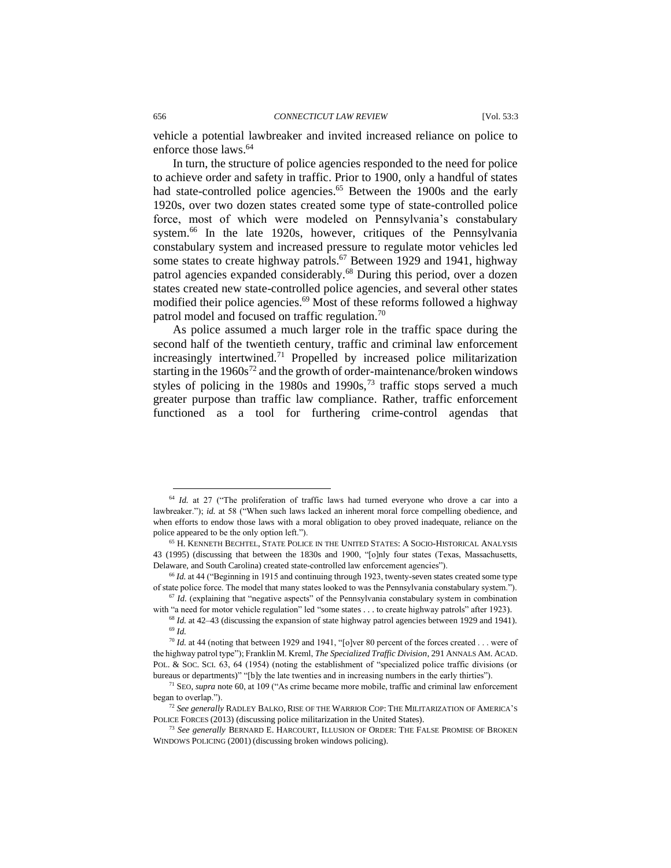vehicle a potential lawbreaker and invited increased reliance on police to enforce those laws.<sup>64</sup>

In turn, the structure of police agencies responded to the need for police to achieve order and safety in traffic. Prior to 1900, only a handful of states had state-controlled police agencies.<sup>65</sup> Between the 1900s and the early 1920s, over two dozen states created some type of state-controlled police force, most of which were modeled on Pennsylvania's constabulary system.<sup>66</sup> In the late 1920s, however, critiques of the Pennsylvania constabulary system and increased pressure to regulate motor vehicles led some states to create highway patrols.<sup>67</sup> Between 1929 and 1941, highway patrol agencies expanded considerably.<sup>68</sup> During this period, over a dozen states created new state-controlled police agencies, and several other states modified their police agencies.<sup>69</sup> Most of these reforms followed a highway patrol model and focused on traffic regulation.<sup>70</sup>

As police assumed a much larger role in the traffic space during the second half of the twentieth century, traffic and criminal law enforcement increasingly intertwined.<sup>71</sup> Propelled by increased police militarization starting in the  $1960s^{72}$  and the growth of order-maintenance/broken windows styles of policing in the 1980s and 1990s,<sup>73</sup> traffic stops served a much greater purpose than traffic law compliance. Rather, traffic enforcement functioned as a tool for furthering crime-control agendas that

<sup>&</sup>lt;sup>64</sup> *Id.* at 27 ("The proliferation of traffic laws had turned everyone who drove a car into a lawbreaker."); *id.* at 58 ("When such laws lacked an inherent moral force compelling obedience, and when efforts to endow those laws with a moral obligation to obey proved inadequate, reliance on the police appeared to be the only option left.").

<sup>65</sup> H. KENNETH BECHTEL, STATE POLICE IN THE UNITED STATES: A SOCIO-HISTORICAL ANALYSIS 43 (1995) (discussing that between the 1830s and 1900, "[o]nly four states (Texas, Massachusetts, Delaware, and South Carolina) created state-controlled law enforcement agencies").

<sup>&</sup>lt;sup>66</sup> Id. at 44 ("Beginning in 1915 and continuing through 1923, twenty-seven states created some type of state police force. The model that many states looked to was the Pennsylvania constabulary system.").  $67$  *Id.* (explaining that "negative aspects" of the Pennsylvania constabulary system in combination

with "a need for motor vehicle regulation" led "some states . . . to create highway patrols" after 1923).

<sup>68</sup> *Id.* at 42–43 (discussing the expansion of state highway patrol agencies between 1929 and 1941). <sup>69</sup> *Id.*

 $^{70}$  *Id.* at 44 (noting that between 1929 and 1941, "[o]ver 80 percent of the forces created . . . were of the highway patrol type"); Franklin M. Kreml, *The Specialized Traffic Division*, 291 ANNALS AM. ACAD. POL. & SOC. SCI. 63, 64 (1954) (noting the establishment of "specialized police traffic divisions (or bureaus or departments)" "[b]y the late twenties and in increasing numbers in the early thirties").

<sup>71</sup> SEO, *supra* note 60, at 109 ("As crime became more mobile, traffic and criminal law enforcement began to overlap.").

<sup>72</sup> *See generally* RADLEY BALKO, RISE OF THE WARRIOR COP: THE MILITARIZATION OF AMERICA'S POLICE FORCES (2013) (discussing police militarization in the United States).

<sup>73</sup> *See generally* BERNARD E. HARCOURT, ILLUSION OF ORDER: THE FALSE PROMISE OF BROKEN WINDOWS POLICING (2001) (discussing broken windows policing).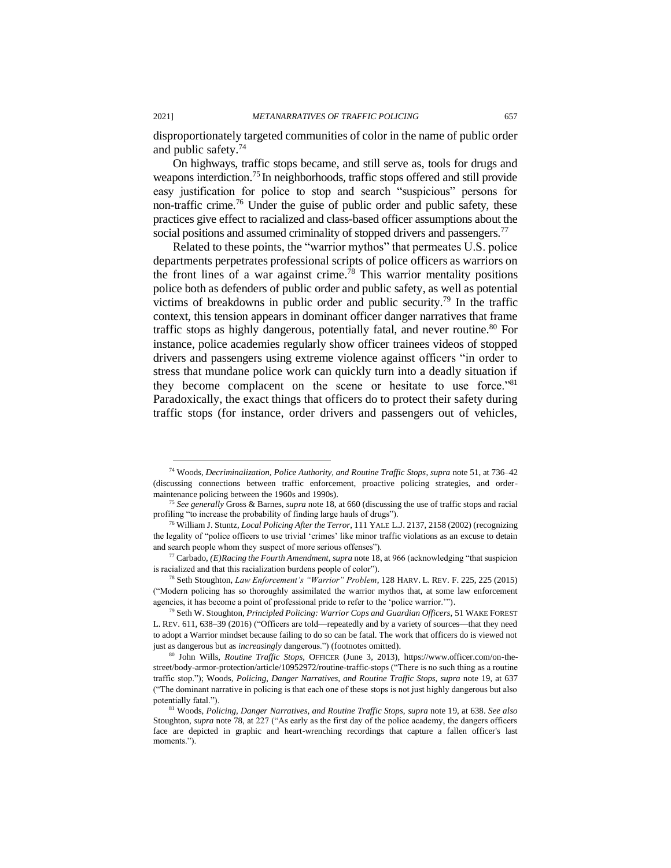disproportionately targeted communities of color in the name of public order and public safety.<sup>74</sup>

On highways, traffic stops became, and still serve as, tools for drugs and weapons interdiction.<sup>75</sup> In neighborhoods, traffic stops offered and still provide easy justification for police to stop and search "suspicious" persons for non-traffic crime. <sup>76</sup> Under the guise of public order and public safety, these practices give effect to racialized and class-based officer assumptions about the social positions and assumed criminality of stopped drivers and passengers.<sup>77</sup>

Related to these points, the "warrior mythos" that permeates U.S. police departments perpetrates professional scripts of police officers as warriors on the front lines of a war against crime.<sup>78</sup> This warrior mentality positions police both as defenders of public order and public safety, as well as potential victims of breakdowns in public order and public security.<sup>79</sup> In the traffic context, this tension appears in dominant officer danger narratives that frame traffic stops as highly dangerous, potentially fatal, and never routine.<sup>80</sup> For instance, police academies regularly show officer trainees videos of stopped drivers and passengers using extreme violence against officers "in order to stress that mundane police work can quickly turn into a deadly situation if they become complacent on the scene or hesitate to use force."<sup>81</sup> Paradoxically, the exact things that officers do to protect their safety during traffic stops (for instance, order drivers and passengers out of vehicles,

<sup>74</sup> Woods, *Decriminalization, Police Authority, and Routine Traffic Stops*, *supra* note 51, at 736–42 (discussing connections between traffic enforcement, proactive policing strategies, and ordermaintenance policing between the 1960s and 1990s).

<sup>75</sup> *See generally* Gross & Barnes, *supra* note 18, at 660 (discussing the use of traffic stops and racial profiling "to increase the probability of finding large hauls of drugs").

<sup>76</sup> William J. Stuntz, *Local Policing After the Terror*, 111 YALE L.J. 2137, 2158 (2002) (recognizing the legality of "police officers to use trivial 'crimes' like minor traffic violations as an excuse to detain and search people whom they suspect of more serious offenses").

<sup>77</sup> Carbado, *(E)Racing the Fourth Amendment*, *supra* note 18, at 966 (acknowledging "that suspicion is racialized and that this racialization burdens people of color").

<sup>78</sup> Seth Stoughton, *Law Enforcement's "Warrior" Problem*, 128 HARV. L. REV. F. 225, 225 (2015) ("Modern policing has so thoroughly assimilated the warrior mythos that, at some law enforcement agencies, it has become a point of professional pride to refer to the 'police warrior.'").

<sup>79</sup> Seth W. Stoughton, *Principled Policing: Warrior Cops and Guardian Officers*, 51 WAKE FOREST L. REV. 611, 638–39 (2016) ("Officers are told—repeatedly and by a variety of sources—that they need to adopt a Warrior mindset because failing to do so can be fatal. The work that officers do is viewed not just as dangerous but as *increasingly* dangerous.") (footnotes omitted).

<sup>80</sup> John Wills, *Routine Traffic Stops*, OFFICER (June 3, 2013), https://www.officer.com/on-thestreet/body-armor-protection/article/10952972/routine-traffic-stops ("There is no such thing as a routine traffic stop."); Woods, *Policing, Danger Narratives, and Routine Traffic Stops*, *supra* note 19, at 637 ("The dominant narrative in policing is that each one of these stops is not just highly dangerous but also potentially fatal.").

<sup>81</sup> Woods, *Policing, Danger Narratives, and Routine Traffic Stops*, *supra* note 19, at 638. *See also*  Stoughton, *supra* note 78, at 227 ("As early as the first day of the police academy, the dangers officers face are depicted in graphic and heart-wrenching recordings that capture a fallen officer's last moments.").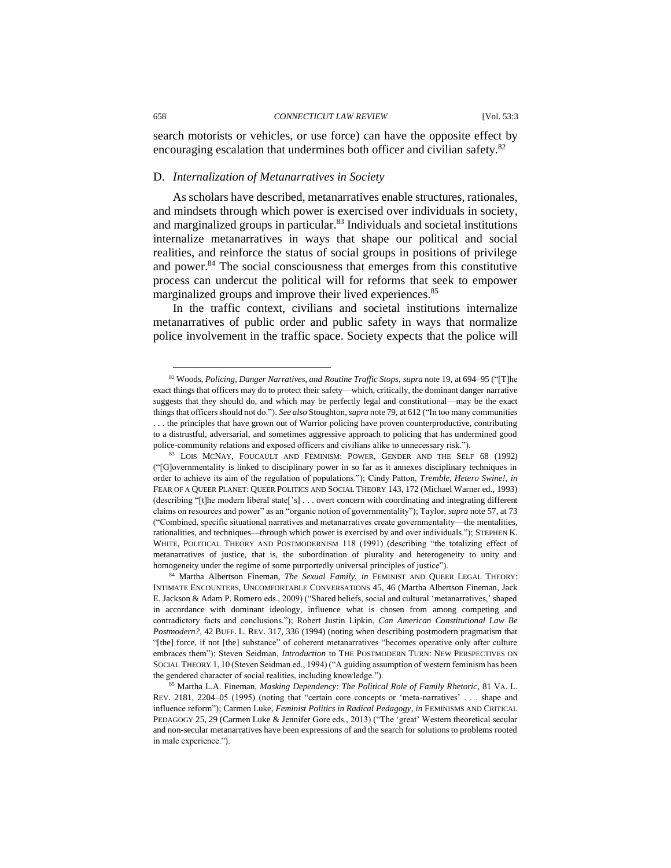#### 658 *CONNECTICUT LAW REVIEW* [Vol. 53:3

search motorists or vehicles, or use force) can have the opposite effect by encouraging escalation that undermines both officer and civilian safety.<sup>82</sup>

#### D. *Internalization of Metanarratives in Society*

As scholars have described, metanarratives enable structures, rationales, and mindsets through which power is exercised over individuals in society, and marginalized groups in particular.<sup>83</sup> Individuals and societal institutions internalize metanarratives in ways that shape our political and social realities, and reinforce the status of social groups in positions of privilege and power.<sup>84</sup> The social consciousness that emerges from this constitutive process can undercut the political will for reforms that seek to empower marginalized groups and improve their lived experiences.<sup>85</sup>

In the traffic context, civilians and societal institutions internalize metanarratives of public order and public safety in ways that normalize police involvement in the traffic space. Society expects that the police will

<sup>82</sup> Woods, *Policing, Danger Narratives, and Routine Traffic Stops*, *supra* note 19, at 694–95 ("[T]he exact things that officers may do to protect their safety—which, critically, the dominant danger narrative suggests that they should do, and which may be perfectly legal and constitutional—may be the exact things that officers should not do."). *See also* Stoughton, *supra* note 79, at 612 ("In too many communities . . . the principles that have grown out of Warrior policing have proven counterproductive, contributing to a distrustful, adversarial, and sometimes aggressive approach to policing that has undermined good police-community relations and exposed officers and civilians alike to unnecessary risk.").

<sup>83</sup> LOIS MCNAY, FOUCAULT AND FEMINISM: POWER, GENDER AND THE SELF 68 (1992) ("[G]overnmentality is linked to disciplinary power in so far as it annexes disciplinary techniques in order to achieve its aim of the regulation of populations."); Cindy Patton, *Tremble, Hetero Swine!*, *in* FEAR OF A QUEER PLANET: QUEER POLITICS AND SOCIAL THEORY 143, 172 (Michael Warner ed., 1993) (describing "[t]he modern liberal state['s] . . . overt concern with coordinating and integrating different claims on resources and power" as an "organic notion of governmentality"); Taylor, *supra* note 57, at 73 ("Combined, specific situational narratives and metanarratives create governmentality—the mentalities, rationalities, and techniques—through which power is exercised by and over individuals."); STEPHEN K. WHITE, POLITICAL THEORY AND POSTMODERNISM 118 (1991) (describing "the totalizing effect of metanarratives of justice, that is, the subordination of plurality and heterogeneity to unity and homogeneity under the regime of some purportedly universal principles of justice").

<sup>84</sup> Martha Albertson Fineman, *The Sexual Family*, *in* FEMINIST AND QUEER LEGAL THEORY: INTIMATE ENCOUNTERS, UNCOMFORTABLE CONVERSATIONS 45, 46 (Martha Albertson Fineman, Jack E. Jackson & Adam P. Romero eds., 2009) ("Shared beliefs, social and cultural 'metanarratives,' shaped in accordance with dominant ideology, influence what is chosen from among competing and contradictory facts and conclusions."); Robert Justin Lipkin, *Can American Constitutional Law Be Postmodern?*, 42 BUFF. L. REV. 317, 336 (1994) (noting when describing postmodern pragmatism that "[the] force, if not [the] substance" of coherent metanarratives "becomes operative only after culture embraces them"); Steven Seidman, *Introduction* to THE POSTMODERN TURN: NEW PERSPECTIVES ON SOCIAL THEORY 1, 10 (Steven Seidman ed., 1994) ("A guiding assumption of western feminism has been the gendered character of social realities, including knowledge.").

<sup>85</sup> Martha L.A. Fineman, *Masking Dependency: The Political Role of Family Rhetoric*, 81 VA. L. REV. 2181, 2204–05 (1995) (noting that "certain core concepts or 'meta-narratives' . . . shape and influence reform"); Carmen Luke, *Feminist Politics in Radical Pedagogy*, *in* FEMINISMS AND CRITICAL PEDAGOGY 25, 29 (Carmen Luke & Jennifer Gore eds., 2013) ("The 'great' Western theoretical secular and non-secular metanarratives have been expressions of and the search for solutions to problems rooted in male experience.").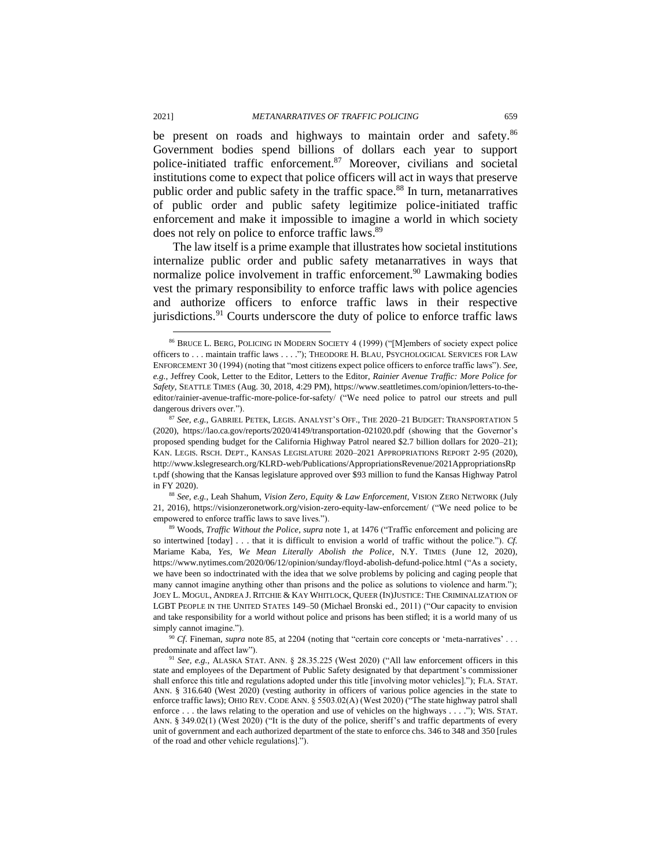be present on roads and highways to maintain order and safety.<sup>86</sup> Government bodies spend billions of dollars each year to support police-initiated traffic enforcement.<sup>87</sup> Moreover, civilians and societal institutions come to expect that police officers will act in ways that preserve public order and public safety in the traffic space.<sup>88</sup> In turn, metanarratives of public order and public safety legitimize police-initiated traffic enforcement and make it impossible to imagine a world in which society does not rely on police to enforce traffic laws.<sup>89</sup>

The law itself is a prime example that illustrates how societal institutions internalize public order and public safety metanarratives in ways that normalize police involvement in traffic enforcement.<sup>90</sup> Lawmaking bodies vest the primary responsibility to enforce traffic laws with police agencies and authorize officers to enforce traffic laws in their respective jurisdictions.<sup>91</sup> Courts underscore the duty of police to enforce traffic laws

<sup>86</sup> BRUCE L. BERG, POLICING IN MODERN SOCIETY 4 (1999) ("[M]embers of society expect police officers to . . . maintain traffic laws . . . ."); THEODORE H. BLAU, PSYCHOLOGICAL SERVICES FOR LAW ENFORCEMENT 30 (1994) (noting that "most citizens expect police officers to enforce traffic laws"). *See, e.g.*, Jeffrey Cook, Letter to the Editor, Letters to the Editor, *Rainier Avenue Traffic: More Police for Safety*, SEATTLE TIMES (Aug. 30, 2018, 4:29 PM), https://www.seattletimes.com/opinion/letters-to-theeditor/rainier-avenue-traffic-more-police-for-safety/ ("We need police to patrol our streets and pull dangerous drivers over.").

<sup>87</sup> *See, e.g.*, GABRIEL PETEK, LEGIS. ANALYST'S OFF., THE 2020–21 BUDGET: TRANSPORTATION 5 (2020), https://lao.ca.gov/reports/2020/4149/transportation-021020.pdf (showing that the Governor's proposed spending budget for the California Highway Patrol neared \$2.7 billion dollars for 2020–21); KAN. LEGIS. RSCH. DEPT., KANSAS LEGISLATURE 2020–2021 APPROPRIATIONS REPORT 2-95 (2020), http://www.kslegresearch.org/KLRD-web/Publications/AppropriationsRevenue/2021AppropriationsRp t.pdf (showing that the Kansas legislature approved over \$93 million to fund the Kansas Highway Patrol in FY 2020).

<sup>88</sup> *See, e.g.*, Leah Shahum, *Vision Zero, Equity & Law Enforcement*, VISION ZERO NETWORK (July 21, 2016), https://visionzeronetwork.org/vision-zero-equity-law-enforcement/ ("We need police to be empowered to enforce traffic laws to save lives.").

<sup>89</sup> Woods, *Traffic Without the Police*, *supra* note 1, at 1476 ("Traffic enforcement and policing are so intertwined [today] . . . that it is difficult to envision a world of traffic without the police."). *Cf.*  Mariame Kaba, *Yes, We Mean Literally Abolish the Police*, N.Y. TIMES (June 12, 2020), https://www.nytimes.com/2020/06/12/opinion/sunday/floyd-abolish-defund-police.html ("As a society, we have been so indoctrinated with the idea that we solve problems by policing and caging people that many cannot imagine anything other than prisons and the police as solutions to violence and harm."); JOEY L. MOGUL, ANDREA J. RITCHIE & KAY WHITLOCK, QUEER (IN)JUSTICE: THE CRIMINALIZATION OF LGBT PEOPLE IN THE UNITED STATES 149–50 (Michael Bronski ed., 2011) ("Our capacity to envision and take responsibility for a world without police and prisons has been stifled; it is a world many of us simply cannot imagine.").

<sup>90</sup> *Cf*. Fineman, *supra* note 85, at 2204 (noting that "certain core concepts or 'meta-narratives' . . . predominate and affect law").

<sup>91</sup> *See, e.g.*, ALASKA STAT. ANN. § 28.35.225 (West 2020) ("All law enforcement officers in this state and employees of the Department of Public Safety designated by that department's commissioner shall enforce this title and regulations adopted under this title [involving motor vehicles]."); FLA. STAT. ANN. § 316.640 (West 2020) (vesting authority in officers of various police agencies in the state to enforce traffic laws); OHIO REV. CODE ANN. § 5503.02(A) (West 2020) ("The state highway patrol shall enforce . . . the laws relating to the operation and use of vehicles on the highways . . . ."); WIS. STAT. ANN. § 349.02(1) (West 2020) ("It is the duty of the police, sheriff's and traffic departments of every unit of government and each authorized department of the state to enforce chs. 346 to 348 and 350 [rules of the road and other vehicle regulations].").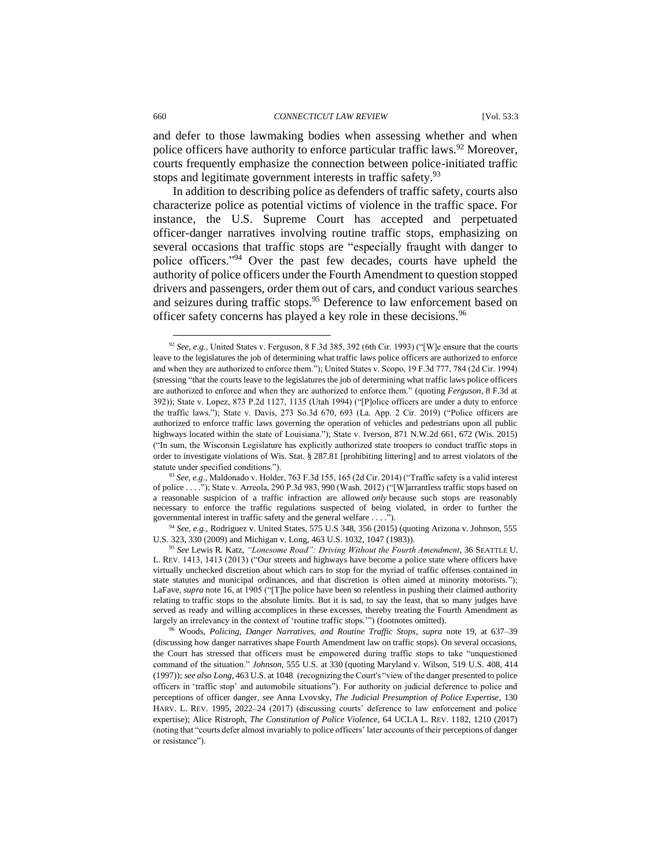and defer to those lawmaking bodies when assessing whether and when police officers have authority to enforce particular traffic laws.<sup>92</sup> Moreover, courts frequently emphasize the connection between police-initiated traffic stops and legitimate government interests in traffic safety.<sup>93</sup>

In addition to describing police as defenders of traffic safety, courts also characterize police as potential victims of violence in the traffic space. For instance, the U.S. Supreme Court has accepted and perpetuated officer-danger narratives involving routine traffic stops, emphasizing on several occasions that traffic stops are "especially fraught with danger to police officers."<sup>94</sup> Over the past few decades, courts have upheld the authority of police officers under the Fourth Amendment to question stopped drivers and passengers, order them out of cars, and conduct various searches and seizures during traffic stops.<sup>95</sup> Deference to law enforcement based on officer safety concerns has played a key role in these decisions.<sup>96</sup>

<sup>92</sup> *See, e.g.*, United States v. Ferguson, 8 F.3d 385, 392 (6th Cir. 1993) ("[W]e ensure that the courts leave to the legislatures the job of determining what traffic laws police officers are authorized to enforce and when they are authorized to enforce them."); United States v. Scopo, 19 F.3d 777, 784 (2d Cir. 1994) (stressing "that the courts leave to the legislatures the job of determining what traffic laws police officers are authorized to enforce and when they are authorized to enforce them." (quoting *Ferguson*, 8 F.3d at 392)); State v. Lopez, 873 P.2d 1127, 1135 (Utah 1994) ("[P]olice officers are under a duty to enforce the traffic laws."); State v. Davis, 273 So.3d 670, 693 (La. App. 2 Cir. 2019) ("Police officers are authorized to enforce traffic laws governing the operation of vehicles and pedestrians upon all public highways located within the state of Louisiana."); State v. Iverson, 871 N.W.2d 661, 672 (Wis. 2015) ("In sum, the Wisconsin Legislature has explicitly authorized state troopers to conduct traffic stops in order to investigate violations of Wis. Stat. § 287.81 [prohibiting littering] and to arrest violators of the statute under specified conditions.").

<sup>93</sup> *See, e.g*., Maldonado v. Holder, 763 F.3d 155, 165 (2d Cir. 2014) ("Traffic safety is a valid interest of police . . . ."); State v. Arreola, 290 P.3d 983, 990 (Wash. 2012) ("[W]arrantless traffic stops based on a reasonable suspicion of a traffic infraction are allowed *only* because such stops are reasonably necessary to enforce the traffic regulations suspected of being violated, in order to further the governmental interest in traffic safety and the general welfare . . . .").

<sup>94</sup> *See, e.g.*, Rodriguez v. United States, 575 U.S 348, 356 (2015) (quoting Arizona v. Johnson, 555 U.S. 323, 330 (2009) and Michigan v. Long, 463 U.S. 1032, 1047 (1983)).

<sup>95</sup> *See* Lewis R. Katz, *"Lonesome Road": Driving Without the Fourth Amendment*, 36 SEATTLE U. L. REV. 1413, 1413 (2013) ("Our streets and highways have become a police state where officers have virtually unchecked discretion about which cars to stop for the myriad of traffic offenses contained in state statutes and municipal ordinances, and that discretion is often aimed at minority motorists."); LaFave, *supra* note 16, at 1905 ("[T]he police have been so relentless in pushing their claimed authority relating to traffic stops to the absolute limits. But it is sad, to say the least, that so many judges have served as ready and willing accomplices in these excesses, thereby treating the Fourth Amendment as largely an irrelevancy in the context of 'routine traffic stops.'") (footnotes omitted).

<sup>96</sup> Woods, *Policing, Danger Narratives, and Routine Traffic Stops*, *supra* note 19, at 637–39 (discussing how danger narratives shape Fourth Amendment law on traffic stops). On several occasions, the Court has stressed that officers must be empowered during traffic stops to take "unquestioned command of the situation." *Johnson*, 555 U.S. at 330 (quoting Maryland v. Wilson, 519 U.S. 408, 414 (1997)); *see also Long*, 463 U.S. at 1048 (recognizing the Court's "view of the danger presented to police officers in 'traffic stop' and automobile situations"). For authority on judicial deference to police and perceptions of officer danger, see Anna Lvovsky, *The Judicial Presumption of Police Expertise*, 130 HARV. L. REV. 1995, 2022–24 (2017) (discussing courts' deference to law enforcement and police expertise); Alice Ristroph, *The Constitution of Police Violence*, 64 UCLA L. REV. 1182, 1210 (2017) (noting that "courts defer almost invariably to police officers' later accounts of their perceptions of danger or resistance").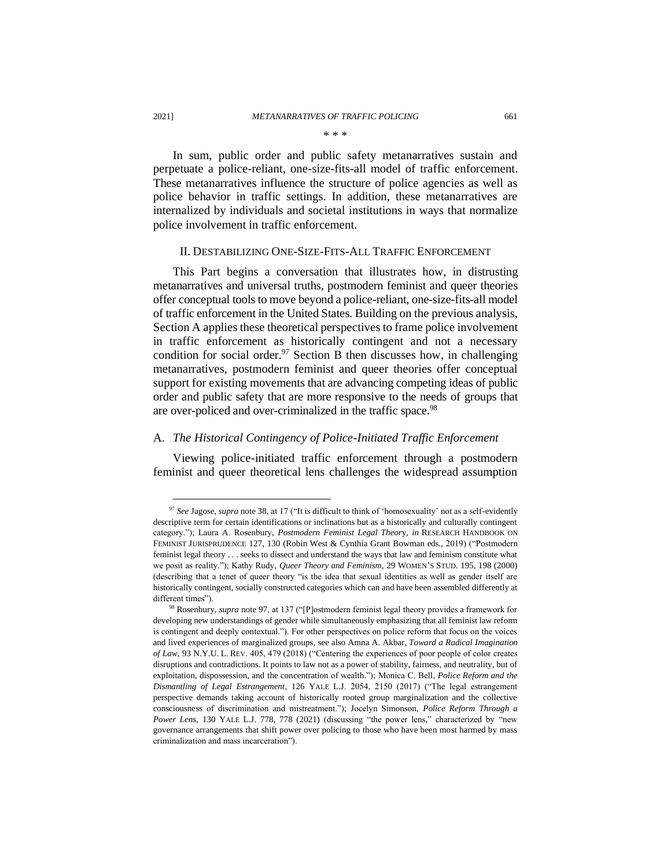In sum, public order and public safety metanarratives sustain and perpetuate a police-reliant, one-size-fits-all model of traffic enforcement. These metanarratives influence the structure of police agencies as well as police behavior in traffic settings. In addition, these metanarratives are internalized by individuals and societal institutions in ways that normalize police involvement in traffic enforcement.

#### II. DESTABILIZING ONE-SIZE-FITS-ALL TRAFFIC ENFORCEMENT

This Part begins a conversation that illustrates how, in distrusting metanarratives and universal truths, postmodern feminist and queer theories offer conceptual tools to move beyond a police-reliant, one-size-fits-all model of traffic enforcement in the United States. Building on the previous analysis, Section A applies these theoretical perspectives to frame police involvement in traffic enforcement as historically contingent and not a necessary condition for social order.<sup>97</sup> Section B then discusses how, in challenging metanarratives, postmodern feminist and queer theories offer conceptual support for existing movements that are advancing competing ideas of public order and public safety that are more responsive to the needs of groups that are over-policed and over-criminalized in the traffic space.<sup>98</sup>

#### A. *The Historical Contingency of Police-Initiated Traffic Enforcement*

Viewing police-initiated traffic enforcement through a postmodern feminist and queer theoretical lens challenges the widespread assumption

<sup>97</sup> *See* Jagose, *supra* note 38, at 17 ("It is difficult to think of 'homosexuality' not as a self-evidently descriptive term for certain identifications or inclinations but as a historically and culturally contingent category."); Laura A. Rosenbury, *Postmodern Feminist Legal Theor*y, *in* RESEARCH HANDBOOK ON FEMINIST JURISPRUDENCE 127, 130 (Robin West & Cynthia Grant Bowman eds., 2019) ("Postmodern feminist legal theory . . . seeks to dissect and understand the ways that law and feminism constitute what we posit as reality."); Kathy Rudy, *Queer Theory and Feminism*, 29 WOMEN'S STUD. 195, 198 (2000) (describing that a tenet of queer theory "is the idea that sexual identities as well as gender itself are historically contingent, socially constructed categories which can and have been assembled differently at different times").

<sup>98</sup> Rosenbury, *supra* note 97, at 137 ("[P]ostmodern feminist legal theory provides a framework for developing new understandings of gender while simultaneously emphasizing that all feminist law reform is contingent and deeply contextual."). For other perspectives on police reform that focus on the voices and lived experiences of marginalized groups, see also Amna A. Akbar, *Toward a Radical Imagination of Law*, 93 N.Y.U. L. REV. 405, 479 (2018) ("Centering the experiences of poor people of color creates disruptions and contradictions. It points to law not as a power of stability, fairness, and neutrality, but of exploitation, dispossession, and the concentration of wealth."); Monica C. Bell, *Police Reform and the Dismantling of Legal Estrangement*, 126 YALE L.J. 2054, 2150 (2017) ("The legal estrangement perspective demands taking account of historically rooted group marginalization and the collective consciousness of discrimination and mistreatment."); Jocelyn Simonson, *Police Reform Through a Power Lens*, 130 YALE L.J. 778, 778 (2021) (discussing "the power lens," characterized by "new governance arrangements that shift power over policing to those who have been most harmed by mass criminalization and mass incarceration").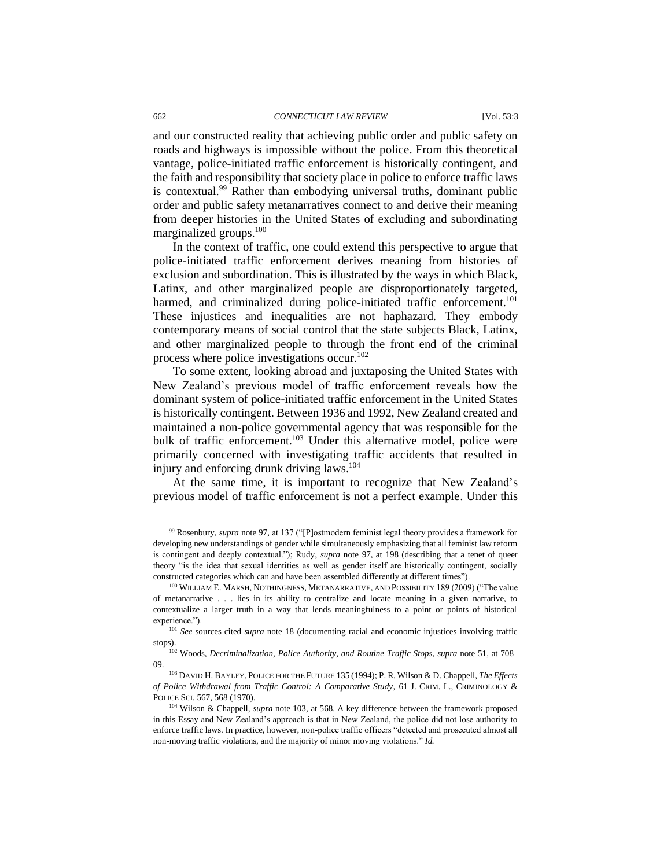#### 662 *CONNECTICUT LAW REVIEW* [Vol. 53:3

and our constructed reality that achieving public order and public safety on roads and highways is impossible without the police. From this theoretical vantage, police-initiated traffic enforcement is historically contingent, and the faith and responsibility that society place in police to enforce traffic laws is contextual.<sup>99</sup> Rather than embodying universal truths, dominant public order and public safety metanarratives connect to and derive their meaning from deeper histories in the United States of excluding and subordinating marginalized groups.<sup>100</sup>

In the context of traffic, one could extend this perspective to argue that police-initiated traffic enforcement derives meaning from histories of exclusion and subordination. This is illustrated by the ways in which Black, Latinx, and other marginalized people are disproportionately targeted, harmed, and criminalized during police-initiated traffic enforcement.<sup>101</sup> These injustices and inequalities are not haphazard. They embody contemporary means of social control that the state subjects Black, Latinx, and other marginalized people to through the front end of the criminal process where police investigations occur.<sup>102</sup>

To some extent, looking abroad and juxtaposing the United States with New Zealand's previous model of traffic enforcement reveals how the dominant system of police-initiated traffic enforcement in the United States is historically contingent. Between 1936 and 1992, New Zealand created and maintained a non-police governmental agency that was responsible for the bulk of traffic enforcement.<sup>103</sup> Under this alternative model, police were primarily concerned with investigating traffic accidents that resulted in injury and enforcing drunk driving laws.<sup>104</sup>

At the same time, it is important to recognize that New Zealand's previous model of traffic enforcement is not a perfect example. Under this

<sup>99</sup> Rosenbury, *supra* note 97, at 137 ("[P]ostmodern feminist legal theory provides a framework for developing new understandings of gender while simultaneously emphasizing that all feminist law reform is contingent and deeply contextual."); Rudy, *supra* note 97, at 198 (describing that a tenet of queer theory "is the idea that sexual identities as well as gender itself are historically contingent, socially constructed categories which can and have been assembled differently at different times").

<sup>100</sup> WILLIAM E. MARSH, NOTHINGNESS, METANARRATIVE, AND POSSIBILITY 189 (2009) ("The value of metanarrative . . . lies in its ability to centralize and locate meaning in a given narrative, to contextualize a larger truth in a way that lends meaningfulness to a point or points of historical experience.").

<sup>101</sup> *See* sources cited *supra* note 18 (documenting racial and economic injustices involving traffic stops).

<sup>102</sup> Woods, *Decriminalization, Police Authority, and Routine Traffic Stops*, *supra* note 51, at 708– 09.

<sup>103</sup> DAVID H. BAYLEY, POLICE FOR THE FUTURE 135 (1994); P. R. Wilson & D. Chappell, *The Effects of Police Withdrawal from Traffic Control: A Comparative Study*, 61 J. CRIM. L., CRIMINOLOGY & POLICE SCI. 567, 568 (1970).

<sup>104</sup> Wilson & Chappell, *supra* note 103, at 568. A key difference between the framework proposed in this Essay and New Zealand's approach is that in New Zealand, the police did not lose authority to enforce traffic laws. In practice, however, non-police traffic officers "detected and prosecuted almost all non-moving traffic violations, and the majority of minor moving violations." *Id.*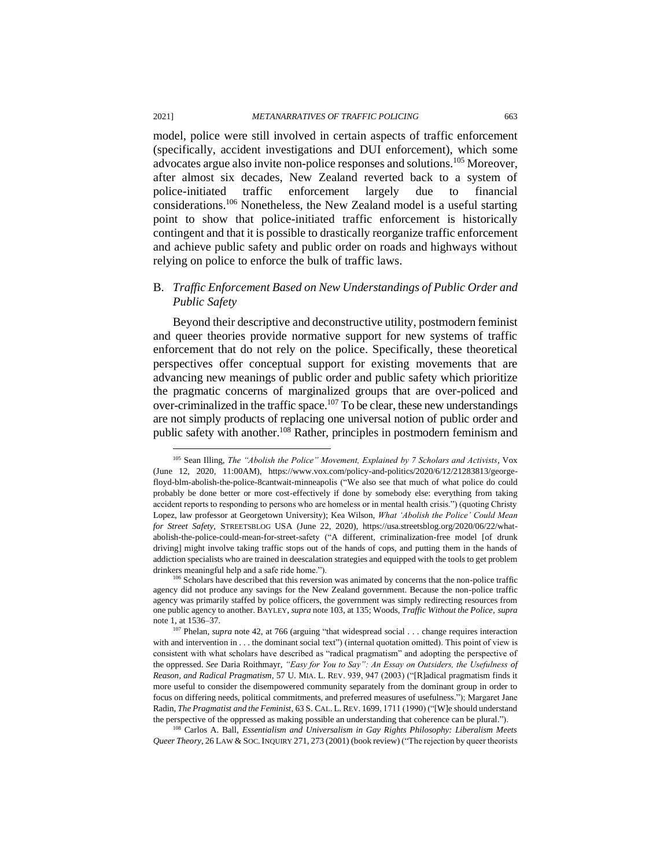model, police were still involved in certain aspects of traffic enforcement (specifically, accident investigations and DUI enforcement), which some advocates argue also invite non-police responses and solutions.<sup>105</sup> Moreover, after almost six decades, New Zealand reverted back to a system of police-initiated traffic enforcement largely due to financial considerations.<sup>106</sup> Nonetheless, the New Zealand model is a useful starting point to show that police-initiated traffic enforcement is historically contingent and that it is possible to drastically reorganize traffic enforcement and achieve public safety and public order on roads and highways without relying on police to enforce the bulk of traffic laws.

#### B. *Traffic Enforcement Based on New Understandings of Public Order and Public Safety*

Beyond their descriptive and deconstructive utility, postmodern feminist and queer theories provide normative support for new systems of traffic enforcement that do not rely on the police. Specifically, these theoretical perspectives offer conceptual support for existing movements that are advancing new meanings of public order and public safety which prioritize the pragmatic concerns of marginalized groups that are over-policed and over-criminalized in the traffic space.<sup>107</sup> To be clear, these new understandings are not simply products of replacing one universal notion of public order and public safety with another.<sup>108</sup> Rather, principles in postmodern feminism and

<sup>108</sup> Carlos A. Ball, *Essentialism and Universalism in Gay Rights Philosophy: Liberalism Meets Queer Theory*, 26 LAW & SOC.INQUIRY 271, 273 (2001) (book review) ("The rejection by queer theorists

<sup>105</sup> Sean Illing, *The "Abolish the Police" Movement, Explained by 7 Scholars and Activists*, Vox (June 12, 2020, 11:00AM), https://www.vox.com/policy-and-politics/2020/6/12/21283813/georgefloyd-blm-abolish-the-police-8cantwait-minneapolis ("We also see that much of what police do could probably be done better or more cost-effectively if done by somebody else: everything from taking accident reports to responding to persons who are homeless or in mental health crisis.") (quoting Christy Lopez, law professor at Georgetown University); Kea Wilson, *What 'Abolish the Police' Could Mean for Street Safety*, STREETSBLOG USA (June 22, 2020), https://usa.streetsblog.org/2020/06/22/whatabolish-the-police-could-mean-for-street-safety ("A different, criminalization-free model [of drunk driving] might involve taking traffic stops out of the hands of cops, and putting them in the hands of addiction specialists who are trained in deescalation strategies and equipped with the tools to get problem drinkers meaningful help and a safe ride home.").

<sup>&</sup>lt;sup>106</sup> Scholars have described that this reversion was animated by concerns that the non-police traffic agency did not produce any savings for the New Zealand government. Because the non-police traffic agency was primarily staffed by police officers, the government was simply redirecting resources from one public agency to another. BAYLEY, *supra* note 103, at 135; Woods, *Traffic Without the Police*, *supra*  note 1, at 1536–37.

<sup>&</sup>lt;sup>107</sup> Phelan, *supra* note 42, at 766 (arguing "that widespread social . . . change requires interaction with and intervention in . . . the dominant social text") (internal quotation omitted). This point of view is consistent with what scholars have described as "radical pragmatism" and adopting the perspective of the oppressed. *See* Daria Roithmayr, *"Easy for You to Say": An Essay on Outsiders, the Usefulness of Reason, and Radical Pragmatism*, 57 U. MIA. L. REV. 939, 947 (2003) ("[R]adical pragmatism finds it more useful to consider the disempowered community separately from the dominant group in order to focus on differing needs, political commitments, and preferred measures of usefulness."); Margaret Jane Radin, *The Pragmatist and the Feminist*, 63 S. CAL. L. REV. 1699, 1711 (1990) ("[W]e should understand the perspective of the oppressed as making possible an understanding that coherence can be plural.").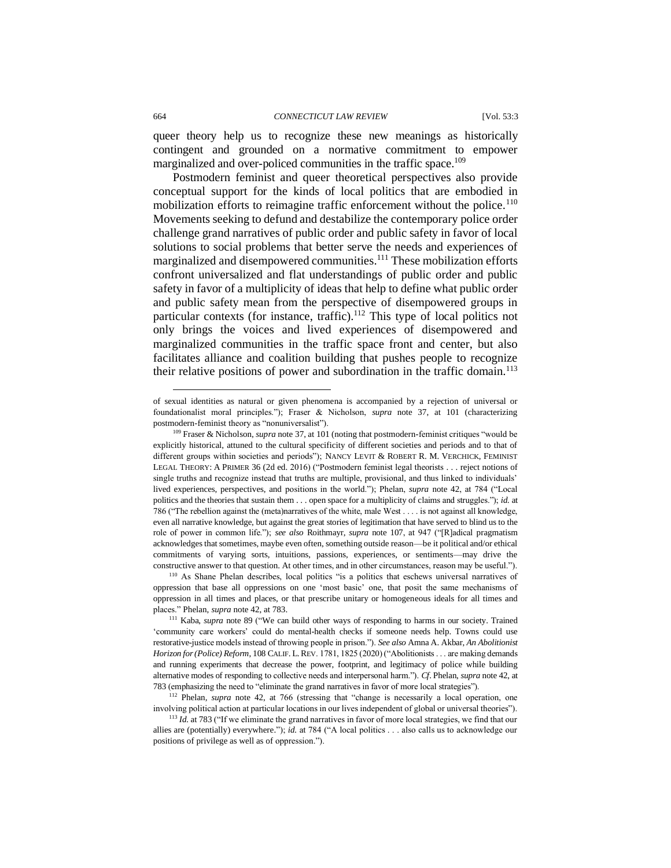queer theory help us to recognize these new meanings as historically contingent and grounded on a normative commitment to empower marginalized and over-policed communities in the traffic space.<sup>109</sup>

Postmodern feminist and queer theoretical perspectives also provide conceptual support for the kinds of local politics that are embodied in mobilization efforts to reimagine traffic enforcement without the police.<sup>110</sup> Movements seeking to defund and destabilize the contemporary police order challenge grand narratives of public order and public safety in favor of local solutions to social problems that better serve the needs and experiences of marginalized and disempowered communities.<sup>111</sup> These mobilization efforts confront universalized and flat understandings of public order and public safety in favor of a multiplicity of ideas that help to define what public order and public safety mean from the perspective of disempowered groups in particular contexts (for instance, traffic). $112$  This type of local politics not only brings the voices and lived experiences of disempowered and marginalized communities in the traffic space front and center, but also facilitates alliance and coalition building that pushes people to recognize their relative positions of power and subordination in the traffic domain.<sup>113</sup>

<sup>112</sup> Phelan*, supra* note 42, at 766 (stressing that "change is necessarily a local operation, one involving political action at particular locations in our lives independent of global or universal theories").

of sexual identities as natural or given phenomena is accompanied by a rejection of universal or foundationalist moral principles."); Fraser & Nicholson, *supra* note 37, at 101 (characterizing postmodern-feminist theory as "nonuniversalist").

<sup>109</sup> Fraser & Nicholson, *supra* note 37, at 101 (noting that postmodern-feminist critiques "would be explicitly historical, attuned to the cultural specificity of different societies and periods and to that of different groups within societies and periods"); NANCY LEVIT & ROBERT R. M. VERCHICK, FEMINIST LEGAL THEORY: A PRIMER 36 (2d ed. 2016) ("Postmodern feminist legal theorists . . . reject notions of single truths and recognize instead that truths are multiple, provisional, and thus linked to individuals' lived experiences, perspectives, and positions in the world."); Phelan, *supra* note 42, at 784 ("Local politics and the theories that sustain them . . . open space for a multiplicity of claims and struggles."); *id.* at 786 ("The rebellion against the (meta)narratives of the white, male West . . . . is not against all knowledge, even all narrative knowledge, but against the great stories of legitimation that have served to blind us to the role of power in common life."); *see also* Roithmayr, *supra* note 107, at 947 ("[R]adical pragmatism acknowledges that sometimes, maybe even often, something outside reason—be it political and/or ethical commitments of varying sorts, intuitions, passions, experiences, or sentiments—may drive the constructive answer to that question. At other times, and in other circumstances, reason may be useful.").

<sup>110</sup> As Shane Phelan describes, local politics "is a politics that eschews universal narratives of oppression that base all oppressions on one 'most basic' one, that posit the same mechanisms of oppression in all times and places, or that prescribe unitary or homogeneous ideals for all times and places." Phelan, *supra* note 42, at 783.

<sup>111</sup> Kaba, *supra* note 89 ("We can build other ways of responding to harms in our society. Trained 'community care workers' could do mental-health checks if someone needs help. Towns could use restorative-justice models instead of throwing people in prison."). *See also* Amna A. Akbar, *An Abolitionist Horizon for (Police) Reform*, 108 CALIF. L.REV. 1781, 1825 (2020) ("Abolitionists . . . are making demands and running experiments that decrease the power, footprint, and legitimacy of police while building alternative modes of responding to collective needs and interpersonal harm."). *Cf*. Phelan, *supra* note 42, at 783 (emphasizing the need to "eliminate the grand narratives in favor of more local strategies").

<sup>&</sup>lt;sup>113</sup> *Id.* at 783 ("If we eliminate the grand narratives in favor of more local strategies, we find that our allies are (potentially) everywhere."); *id.* at 784 ("A local politics . . . also calls us to acknowledge our positions of privilege as well as of oppression.").